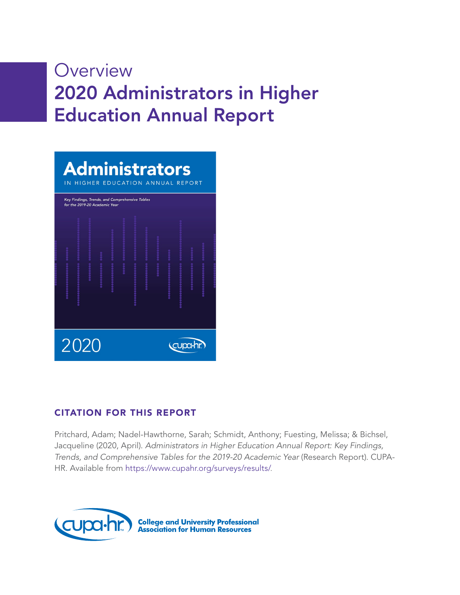# **Overview** 2020 Administrators in Higher Education Annual Report

|                  |  |  | for the 2019-20 Academic Year |  |  | <b>Administrators</b><br>IN HIGHER EDUCATION ANNUAL REPORT<br>Key Findings, Trends, and Comprehensive Tables |  |  |  |  |
|------------------|--|--|-------------------------------|--|--|--------------------------------------------------------------------------------------------------------------|--|--|--|--|
|                  |  |  |                               |  |  |                                                                                                              |  |  |  |  |
| 2020<br>cupa-hr. |  |  |                               |  |  |                                                                                                              |  |  |  |  |

## CITATION FOR THIS REPORT

Pritchard, Adam; Nadel-Hawthorne, Sarah; Schmidt, Anthony; Fuesting, Melissa; & Bichsel, Jacqueline (2020, April). *Administrators in Higher Education Annual Report: Key Findings, Trends, and Comprehensive Tables for the 2019-20 Academic Year* (Research Report). CUPA-HR. Available from [https://www.cupahr.org/surveys/results/.](https://www.cupahr.org/surveys/results/)

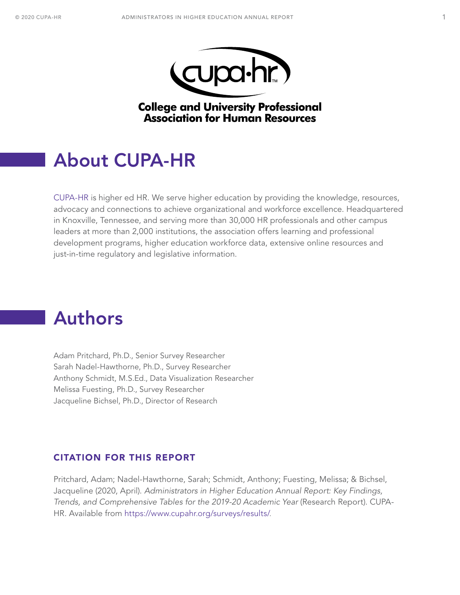



**College and University Professional Association for Human Resources** 

## <span id="page-1-0"></span>About CUPA-HR

[CUPA-HR](https://www.cupahr.org) is higher ed HR. We serve higher education by providing the knowledge, resources, advocacy and connections to achieve organizational and workforce excellence. Headquartered in Knoxville, Tennessee, and serving more than 30,000 HR professionals and other campus leaders at more than 2,000 institutions, the association offers learning and professional development programs, higher education workforce data, extensive online resources and just-in-time regulatory and legislative information.

## Authors

Adam Pritchard, Ph.D., Senior Survey Researcher Sarah Nadel-Hawthorne, Ph.D., Survey Researcher Anthony Schmidt, M.S.Ed., Data Visualization Researcher Melissa Fuesting, Ph.D., Survey Researcher Jacqueline Bichsel, Ph.D., Director of Research

## CITATION FOR THIS REPORT

Pritchard, Adam; Nadel-Hawthorne, Sarah; Schmidt, Anthony; Fuesting, Melissa; & Bichsel, Jacqueline (2020, April). *Administrators in Higher Education Annual Report: Key Findings, Trends, and Comprehensive Tables for the 2019-20 Academic Year* (Research Report). CUPA-HR. Available from [https://www.cupahr.org/surveys/results/.](https://www.cupahr.org/surveys/results/)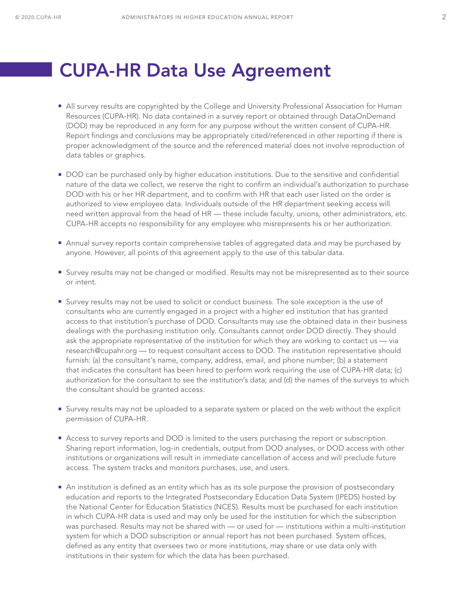## <span id="page-2-0"></span>CUPA-HR Data Use Agreement

- All survey results are copyrighted by the College and University Professional Association for Human Resources (CUPA-HR). No data contained in a survey report or obtained through DataOnDemand (DOD) may be reproduced in any form for any purpose without the written consent of CUPA-HR. Report findings and conclusions may be appropriately cited/referenced in other reporting if there is proper acknowledgment of the source and the referenced material does not involve reproduction of data tables or graphics.
- **DOD** can be purchased only by higher education institutions. Due to the sensitive and confidential nature of the data we collect, we reserve the right to confirm an individual's authorization to purchase DOD with his or her HR department, and to confirm with HR that each user listed on the order is authorized to view employee data. Individuals outside of the HR department seeking access will need written approval from the head of HR — these include faculty, unions, other administrators, etc. CUPA-HR accepts no responsibility for any employee who misrepresents his or her authorization.
- Annual survey reports contain comprehensive tables of aggregated data and may be purchased by anyone. However, all points of this agreement apply to the use of this tabular data.
- Survey results may not be changed or modified. Results may not be misrepresented as to their source or intent.
- Survey results may not be used to solicit or conduct business. The sole exception is the use of consultants who are currently engaged in a project with a higher ed institution that has granted access to that institution's purchase of DOD. Consultants may use the obtained data in their business dealings with the purchasing institution only. Consultants cannot order DOD directly. They should ask the appropriate representative of the institution for which they are working to contact us — via research@cupahr.org — to request consultant access to DOD. The institution representative should furnish: (a) the consultant's name, company, address, email, and phone number; (b) a statement that indicates the consultant has been hired to perform work requiring the use of CUPA-HR data; (c) authorization for the consultant to see the institution's data; and (d) the names of the surveys to which the consultant should be granted access.
- Survey results may not be uploaded to a separate system or placed on the web without the explicit permission of CUPA-HR.
- Access to survey reports and DOD is limited to the users purchasing the report or subscription. Sharing report information, log-in credentials, output from DOD analyses, or DOD access with other institutions or organizations will result in immediate cancellation of access and will preclude future access. The system tracks and monitors purchases, use, and users.
- An institution is defined as an entity which has as its sole purpose the provision of postsecondary education and reports to the Integrated Postsecondary Education Data System (IPEDS) hosted by the National Center for Education Statistics (NCES). Results must be purchased for each institution in which CUPA-HR data is used and may only be used for the institution for which the subscription was purchased. Results may not be shared with — or used for — institutions within a multi-institution system for which a DOD subscription or annual report has not been purchased. System offices, defined as any entity that oversees two or more institutions, may share or use data only with institutions in their system for which the data has been purchased.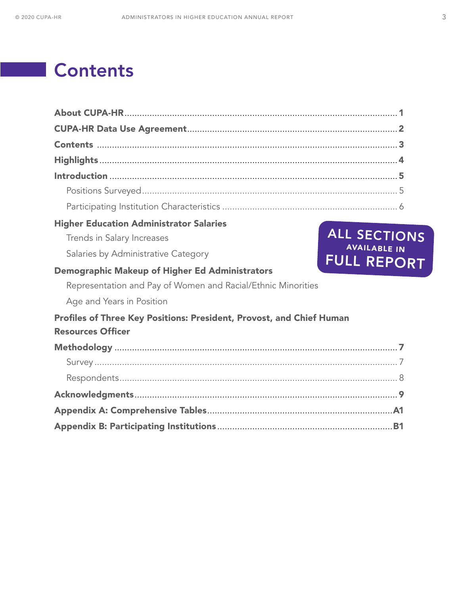# **Contents**

| <b>Higher Education Administrator Salaries</b>                       |                                           |
|----------------------------------------------------------------------|-------------------------------------------|
| Trends in Salary Increases                                           | ALL SECTIONS                              |
| Salaries by Administrative Category                                  | <b>AVAILABLE IN</b><br><b>FULL REPORT</b> |
| Demographic Makeup of Higher Ed Administrators                       |                                           |
| Representation and Pay of Women and Racial/Ethnic Minorities         |                                           |
| Age and Years in Position                                            |                                           |
| Profiles of Three Key Positions: President, Provost, and Chief Human |                                           |
| <b>Resources Officer</b>                                             |                                           |
|                                                                      |                                           |
|                                                                      |                                           |
|                                                                      |                                           |
|                                                                      |                                           |
|                                                                      |                                           |
|                                                                      |                                           |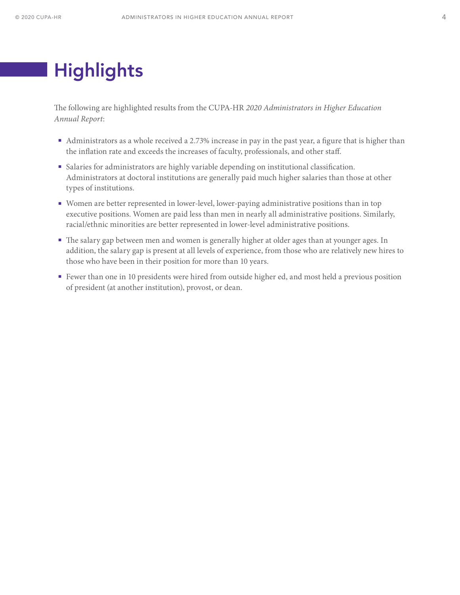# <span id="page-4-0"></span>**Highlights**

The following are highlighted results from the CUPA-HR *2020 Administrators in Higher Education Annual Report*:

- Administrators as a whole received a 2.73% increase in pay in the past year, a figure that is higher than the inflation rate and exceeds the increases of faculty, professionals, and other staff.
- Salaries for administrators are highly variable depending on institutional classification. Administrators at doctoral institutions are generally paid much higher salaries than those at other types of institutions.
- Women are better represented in lower-level, lower-paying administrative positions than in top executive positions. Women are paid less than men in nearly all administrative positions. Similarly, racial/ethnic minorities are better represented in lower-level administrative positions.
- The salary gap between men and women is generally higher at older ages than at younger ages. In addition, the salary gap is present at all levels of experience, from those who are relatively new hires to those who have been in their position for more than 10 years.
- Fewer than one in 10 presidents were hired from outside higher ed, and most held a previous position of president (at another institution), provost, or dean.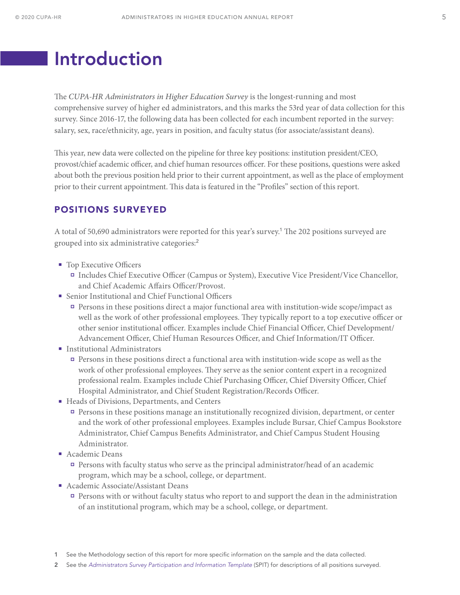## <span id="page-5-0"></span>Introduction

The *CUPA-HR Administrators in Higher Education Survey* is the longest-running and most comprehensive survey of higher ed administrators, and this marks the 53rd year of data collection for this survey. Since 2016-17, the following data has been collected for each incumbent reported in the survey: salary, sex, race/ethnicity, age, years in position, and faculty status (for associate/assistant deans).

This year, new data were collected on the pipeline for three key positions: institution president/CEO, provost/chief academic officer, and chief human resources officer. For these positions, questions were asked about both the previous position held prior to their current appointment, as well as the place of employment prior to their current appointment. This data is featured in the "Profiles" section of this report.

### POSITIONS SURVEYED

A total of 50,690 administrators were reported for this year's survey.<sup>1</sup> The 202 positions surveyed are grouped into six administrative categories:<sup>2</sup>

- Top Executive Officers
	- Includes Chief Executive Officer (Campus or System), Executive Vice President/Vice Chancellor, and Chief Academic Affairs Officer/Provost.
- Senior Institutional and Chief Functional Officers
	- Persons in these positions direct a major functional area with institution-wide scope/impact as well as the work of other professional employees. They typically report to a top executive officer or other senior institutional officer. Examples include Chief Financial Officer, Chief Development/ Advancement Officer, Chief Human Resources Officer, and Chief Information/IT Officer.
- Institutional Administrators
	- Persons in these positions direct a functional area with institution-wide scope as well as the work of other professional employees. They serve as the senior content expert in a recognized professional realm. Examples include Chief Purchasing Officer, Chief Diversity Officer, Chief Hospital Administrator, and Chief Student Registration/Records Officer.
- Heads of Divisions, Departments, and Centers
	- Persons in these positions manage an institutionally recognized division, department, or center and the work of other professional employees. Examples include Bursar, Chief Campus Bookstore Administrator, Chief Campus Benefits Administrator, and Chief Campus Student Housing Administrator.
- Academic Deans
	- Persons with faculty status who serve as the principal administrator/head of an academic program, which may be a school, college, or department.
- Academic Associate/Assistant Deans
	- Persons with or without faculty status who report to and support the dean in the administration of an institutional program, which may be a school, college, or department.

2 See the *[Administrators Survey Participation and Information Template](https://www.cupahr.org/surveys/results/)* (SPIT) for descriptions of all positions surveyed.

<sup>1</sup> See the Methodology section of this report for more specific information on the sample and the data collected.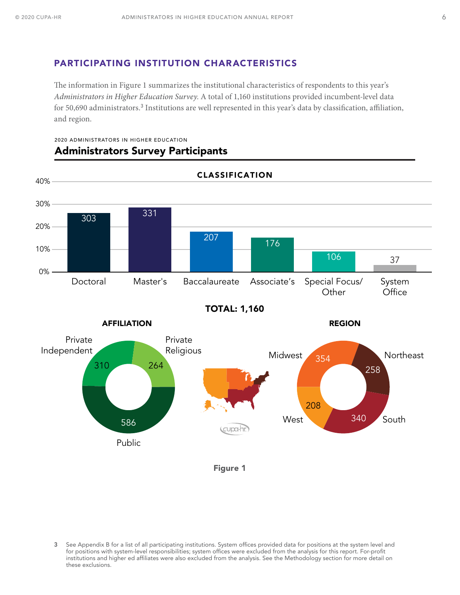### PARTICIPATING INSTITUTION CHARACTERISTICS

The information in Figure 1 summarizes the institutional characteristics of respondents to this year's *Administrators in Higher Education Survey*. A total of 1,160 institutions provided incumbent-level data for 50,690 administrators.<sup>3</sup> Institutions are well represented in this year's data by classification, affiliation, and region.



### 2020 ADMINISTRATORS IN HIGHER EDUCATION Administrators Survey Participants

Figure 1

3 See Appendix B for a list of all participating institutions. System offices provided data for positions at the system level and for positions with system-level responsibilities; system offices were excluded from the analysis for this report. For-profit institutions and higher ed affiliates were also excluded from the analysis. See the Methodology section for more detail on these exclusions.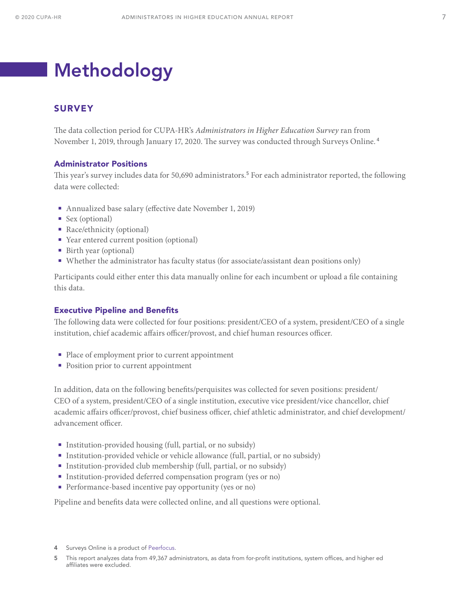# <span id="page-7-0"></span>Methodology

### **SURVEY**

The data collection period for CUPA-HR's *Administrators in Higher Education Survey* ran from November 1, 2019, through January 17, 2020. The survey was conducted through Surveys Online. <sup>4</sup>

#### Administrator Positions

This year's survey includes data for 50,690 administrators.<sup>5</sup> For each administrator reported, the following data were collected:

- Annualized base salary (effective date November 1, 2019)
- Sex (optional)
- Race/ethnicity (optional)
- Year entered current position (optional)
- Birth year (optional)
- Whether the administrator has faculty status (for associate/assistant dean positions only)

Participants could either enter this data manually online for each incumbent or upload a file containing this data.

#### Executive Pipeline and Benefits

The following data were collected for four positions: president/CEO of a system, president/CEO of a single institution, chief academic affairs officer/provost, and chief human resources officer.

- Place of employment prior to current appointment
- Position prior to current appointment

In addition, data on the following benefits/perquisites was collected for seven positions: president/ CEO of a system, president/CEO of a single institution, executive vice president/vice chancellor, chief academic affairs officer/provost, chief business officer, chief athletic administrator, and chief development/ advancement officer.

- Institution-provided housing (full, partial, or no subsidy)
- Institution-provided vehicle or vehicle allowance (full, partial, or no subsidy)
- Institution-provided club membership (full, partial, or no subsidy)
- **Institution-provided deferred compensation program (yes or no)**
- **Performance-based incentive pay opportunity (yes or no)**

Pipeline and benefits data were collected online, and all questions were optional.

5 This report analyzes data from 49,367 administrators, as data from for-profit institutions, system offices, and higher ed affiliates were excluded.

<sup>4</sup> Surveys Online is a product of [Peerfocus](http://www.peerfocus.com/).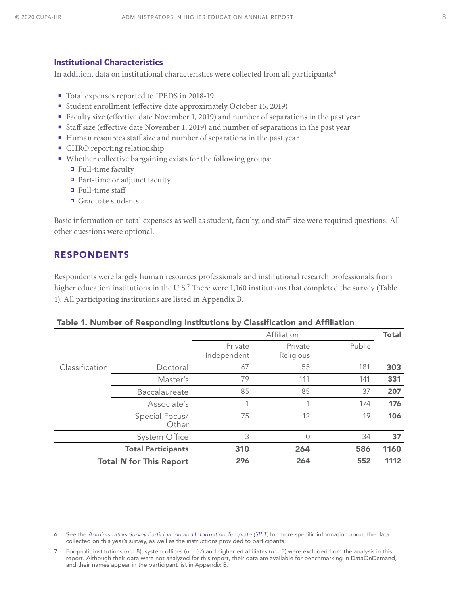### <span id="page-8-0"></span>Institutional Characteristics

In addition, data on institutional characteristics were collected from all participants:<sup>6</sup>

- Total expenses reported to IPEDS in 2018-19
- Student enrollment (effective date approximately October 15, 2019)
- Faculty size (effective date November 1, 2019) and number of separations in the past year
- Staff size (effective date November 1, 2019) and number of separations in the past year
- Human resources staff size and number of separations in the past year
- CHRO reporting relationship
- Whether collective bargaining exists for the following groups:
	- Full-time faculty
	- Part-time or adjunct faculty
	- Full-time staff
	- Graduate students

Basic information on total expenses as well as student, faculty, and staff size were required questions. All other questions were optional.

### RESPONDENTS

Respondents were largely human resources professionals and institutional research professionals from higher education institutions in the U.S.<sup>7</sup> There were 1,160 institutions that completed the survey (Table 1). All participating institutions are listed in Appendix B.

#### Table 1. Number of Responding Institutions by Classification and Affiliation

|                |                                | Affiliation            |                      |        | <b>Total</b> |
|----------------|--------------------------------|------------------------|----------------------|--------|--------------|
|                |                                | Private<br>Independent | Private<br>Religious | Public |              |
| Classification | Doctoral                       | 67                     | 55                   | 181    | 303          |
|                | Master's                       | 79                     | 111                  | 141    | 331          |
|                | Baccalaureate                  | 85                     | 85                   | 37     | 207          |
|                | Associate's                    |                        | 4                    | 174    | 176          |
|                | Special Focus/<br>Other        | 75                     | 12                   | 19     | 106          |
|                | System Office                  | 3                      | 0                    | 34     | 37           |
|                | <b>Total Participants</b>      | 310                    | 264                  | 586    | 1160         |
|                | <b>Total N for This Report</b> | 296                    | 264                  | 552    | 1112         |

6 See the *[Administrators Survey Participation and Information Template](https://www.cupahr.org/surveys/results/) (SPIT)* for more specific information about the data collected on this year's survey, as well as the instructions provided to participants.

7 For-profit institutions (*n* = 8), system offices (*n = 37*) and higher ed affiliates (*n* = 3) were excluded from the analysis in this report. Although their data were not analyzed for this report, their data are available for benchmarking in DataOnDemand, and their names appear in the participant list in Appendix B.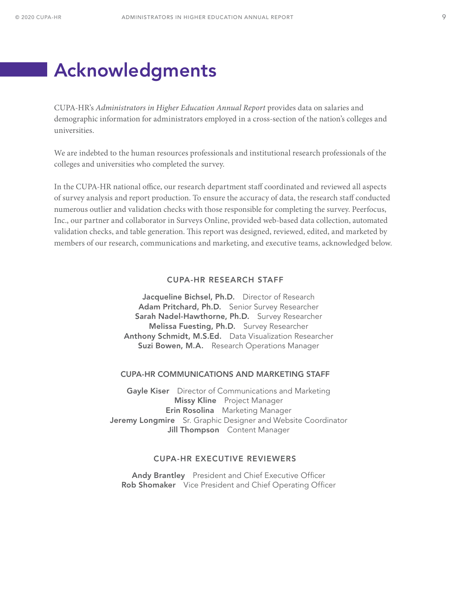## <span id="page-9-0"></span>Acknowledgments

CUPA-HR's *Administrators in Higher Education Annual Report* provides data on salaries and demographic information for administrators employed in a cross-section of the nation's colleges and universities.

We are indebted to the human resources professionals and institutional research professionals of the colleges and universities who completed the survey.

In the CUPA-HR national office, our research department staff coordinated and reviewed all aspects of survey analysis and report production. To ensure the accuracy of data, the research staff conducted numerous outlier and validation checks with those responsible for completing the survey. Peerfocus, Inc., our partner and collaborator in Surveys Online, provided web-based data collection, automated validation checks, and table generation. This report was designed, reviewed, edited, and marketed by members of our research, communications and marketing, and executive teams, acknowledged below.

#### CUPA-HR RESEARCH STAFF

Jacqueline Bichsel, Ph.D. Director of Research Adam Pritchard, Ph.D. Senior Survey Researcher Sarah Nadel-Hawthorne, Ph.D. Survey Researcher Melissa Fuesting, Ph.D. Survey Researcher Anthony Schmidt, M.S.Ed. Data Visualization Researcher Suzi Bowen, M.A. Research Operations Manager

#### CUPA-HR COMMUNICATIONS AND MARKETING STAFF

**Gayle Kiser** Director of Communications and Marketing Missy Kline Project Manager **Erin Rosolina** Marketing Manager Jeremy Longmire Sr. Graphic Designer and Website Coordinator Jill Thompson Content Manager

#### CUPA-HR EXECUTIVE REVIEWERS

Andy Brantley President and Chief Executive Officer Rob Shomaker Vice President and Chief Operating Officer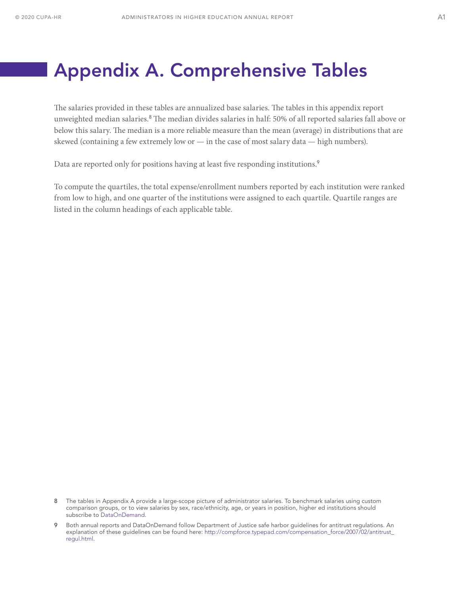## <span id="page-10-0"></span>Appendix A. Comprehensive Tables

The salaries provided in these tables are annualized base salaries. The tables in this appendix report unweighted median salaries.<sup>8</sup> The median divides salaries in half: 50% of all reported salaries fall above or below this salary. The median is a more reliable measure than the mean (average) in distributions that are skewed (containing a few extremely low or  $-$  in the case of most salary data  $-$  high numbers).

Data are reported only for positions having at least five responding institutions.<sup>9</sup>

To compute the quartiles, the total expense/enrollment numbers reported by each institution were ranked from low to high, and one quarter of the institutions were assigned to each quartile. Quartile ranges are listed in the column headings of each applicable table.

<sup>8</sup> The tables in Appendix A provide a large-scope picture of administrator salaries. To benchmark salaries using custom comparison groups, or to view salaries by sex, race/ethnicity, age, or years in position, higher ed institutions should subscribe to [DataOnDemand](https://www.cupahr.org/surveys/dataondemand/).

<sup>9</sup> Both annual reports and DataOnDemand follow Department of Justice safe harbor guidelines for antitrust regulations. An explanation of these guidelines can be found here: [http://compforce.typepad.com/compensation\\_force/2007/02/antitrust\\_](http://compforce.typepad.com/compensation_force/2007/02/antitrust_regul.html) [regul.html](http://compforce.typepad.com/compensation_force/2007/02/antitrust_regul.html).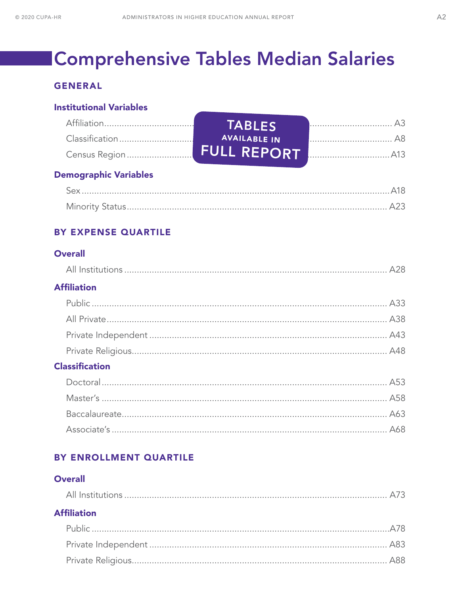# **Comprehensive Tables Median Salaries**

## **GENERAL**

### **Institutional Variables**

| <b>TABLES</b>       |  |
|---------------------|--|
| <b>AVAILABLE IN</b> |  |
|                     |  |

## **Demographic Variables**

## BY EXPENSE QUARTILE

## **Overall**

|--|

## **Affiliation**

## **Classification**

## BY ENROLLMENT QUARTILE

### **Overall**

| <b>Affiliation</b> |  |
|--------------------|--|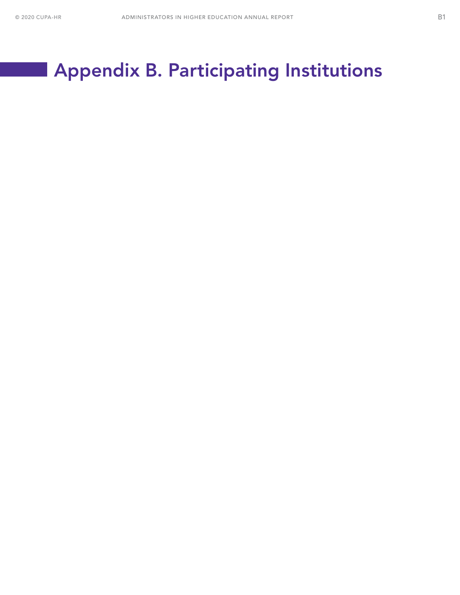# <span id="page-12-0"></span>Appendix B. Participating Institutions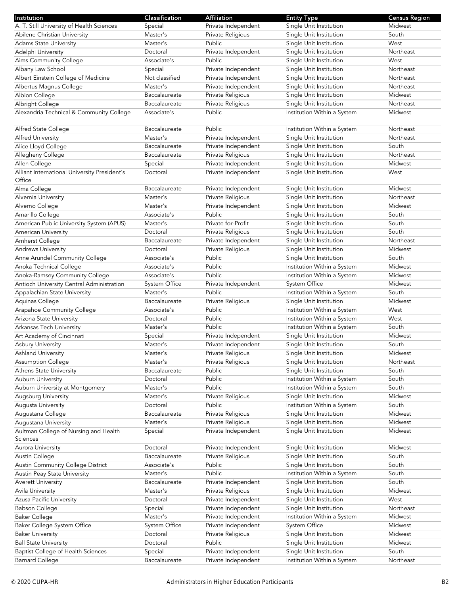| Institution                                              | Classification            | <b>Affiliation</b>                       | <b>Entity Type</b>                                         | <b>Census Region</b> |
|----------------------------------------------------------|---------------------------|------------------------------------------|------------------------------------------------------------|----------------------|
| A. T. Still University of Health Sciences                | Special                   | Private Independent                      | Single Unit Institution                                    | Midwest              |
| Abilene Christian University                             | Master's                  | Private Religious                        | Single Unit Institution                                    | South                |
| <b>Adams State University</b>                            | Master's                  | Public                                   | Single Unit Institution                                    | West                 |
| Adelphi University                                       | Doctoral                  | Private Independent                      | Single Unit Institution                                    | Northeast            |
| Aims Community College                                   | Associate's               | Public                                   | Single Unit Institution                                    | West                 |
| Albany Law School                                        | Special                   | Private Independent                      | Single Unit Institution                                    | Northeast            |
| Albert Einstein College of Medicine                      | Not classified            | Private Independent                      | Single Unit Institution                                    | Northeast            |
| Albertus Magnus College                                  | Master's                  | Private Independent                      | Single Unit Institution                                    | Northeast            |
| Albion College                                           | Baccalaureate             | Private Religious                        | Single Unit Institution                                    | Midwest              |
| Albright College                                         | Baccalaureate             | Private Religious                        | Single Unit Institution                                    | Northeast            |
| Alexandria Technical & Community College                 | Associate's               | Public                                   | Institution Within a System                                | Midwest              |
|                                                          |                           |                                          |                                                            |                      |
| Alfred State College                                     | Baccalaureate             | Public                                   | Institution Within a System                                | Northeast            |
| Alfred University                                        | Master's                  | Private Independent                      | Single Unit Institution                                    | Northeast            |
| Alice Lloyd College                                      | Baccalaureate             | Private Independent                      | Single Unit Institution                                    | South                |
| Allegheny College                                        | Baccalaureate             | Private Religious                        | Single Unit Institution                                    | Northeast            |
| Allen College                                            | Special                   | Private Independent                      | Single Unit Institution                                    | Midwest              |
| Alliant International University President's             | Doctoral                  | Private Independent                      | Single Unit Institution                                    | West                 |
| Office                                                   |                           |                                          |                                                            |                      |
| Alma College                                             | Baccalaureate             | Private Independent                      | Single Unit Institution                                    | Midwest              |
| Alvernia University                                      | Master's                  | Private Religious                        | Single Unit Institution                                    | Northeast            |
| Alverno College                                          | Master's                  | Private Independent                      | Single Unit Institution                                    | Midwest              |
| Amarillo College                                         | Associate's               | Public                                   | Single Unit Institution                                    | South                |
| American Public University System (APUS)                 | Master's                  | Private for-Profit                       | Single Unit Institution                                    | South                |
| American University                                      | Doctoral                  | Private Religious                        | Single Unit Institution                                    | South                |
| Amherst College                                          | Baccalaureate             | Private Independent                      | Single Unit Institution                                    | Northeast            |
| Andrews University                                       | Doctoral                  | Private Religious                        | Single Unit Institution                                    | Midwest              |
| Anne Arundel Community College                           | Associate's               | Public                                   | Single Unit Institution                                    | South                |
| Anoka Technical College                                  | Associate's               | Public                                   | Institution Within a System                                | Midwest              |
| Anoka-Ramsey Community College                           | Associate's               | Public                                   | Institution Within a System                                | Midwest              |
| Antioch University Central Administration                | System Office             | Private Independent                      | System Office                                              | Midwest              |
| Appalachian State University                             | Master's                  | Public                                   | Institution Within a System                                | South                |
| Aquinas College                                          | Baccalaureate             | Private Religious                        | Single Unit Institution                                    | Midwest              |
| Arapahoe Community College                               | Associate's               | Public                                   | Institution Within a System                                | West                 |
| Arizona State University                                 | Doctoral                  | Public                                   | Institution Within a System                                | West                 |
| Arkansas Tech University                                 | Master's                  | Public                                   | Institution Within a System                                | South                |
| Art Academy of Cincinnati                                | Special                   | Private Independent                      | Single Unit Institution                                    | Midwest              |
| Asbury University                                        | Master's                  | Private Independent                      | Single Unit Institution                                    | South                |
| Ashland University                                       | Master's                  | Private Religious                        | Single Unit Institution                                    | Midwest              |
|                                                          | Master's                  |                                          |                                                            | Northeast            |
| <b>Assumption College</b>                                | Baccalaureate             | Private Religious<br>Public              | Single Unit Institution<br>Single Unit Institution         | South                |
| Athens State University                                  | Doctoral                  | Public                                   |                                                            | South                |
| Auburn University                                        | Master's                  | Public                                   | Institution Within a System<br>Institution Within a System | South                |
| Auburn University at Montgomery<br>Augsburg University   | Master's                  | Private Religious                        | Single Unit Institution                                    | Midwest              |
| Augusta University                                       | Doctoral                  | Public                                   | Institution Within a System                                | South                |
|                                                          | Baccalaureate             |                                          | Single Unit Institution                                    | Midwest              |
| Augustana College                                        |                           | Private Religious                        |                                                            | Midwest              |
| Augustana University                                     | Master's                  | Private Religious                        | Single Unit Institution                                    | Midwest              |
| Aultman College of Nursing and Health<br><b>Sciences</b> | Special                   | Private Independent                      | Single Unit Institution                                    |                      |
| Aurora University                                        | Doctoral                  | Private Independent                      | Single Unit Institution                                    | Midwest              |
| Austin College                                           | Baccalaureate             | Private Religious                        | Single Unit Institution                                    | South                |
| Austin Community College District                        | Associate's               | Public                                   | Single Unit Institution                                    | South                |
| Austin Peay State University                             | Master's                  | Public                                   | Institution Within a System                                | South                |
|                                                          |                           |                                          |                                                            | South                |
| <b>Averett University</b><br>Avila University            | Baccalaureate<br>Master's | Private Independent<br>Private Religious | Single Unit Institution<br>Single Unit Institution         | Midwest              |
|                                                          | Doctoral                  |                                          |                                                            | West                 |
| Azusa Pacific University                                 |                           | Private Independent                      | Single Unit Institution                                    |                      |
| <b>Babson College</b>                                    | Special                   | Private Independent                      | Single Unit Institution                                    | Northeast            |
| <b>Baker College</b>                                     | Master's                  | Private Independent                      | Institution Within a System                                | Midwest              |
| <b>Baker College System Office</b>                       | System Office             | Private Independent                      | System Office                                              | Midwest              |
| <b>Baker University</b>                                  | Doctoral                  | Private Religious                        | Single Unit Institution                                    | Midwest              |
| <b>Ball State University</b>                             | Doctoral                  | Public                                   | Single Unit Institution                                    | Midwest              |
| <b>Baptist College of Health Sciences</b>                | Special                   | Private Independent                      | Single Unit Institution                                    | South                |
| <b>Barnard College</b>                                   | Baccalaureate             | Private Independent                      | Institution Within a System                                | Northeast            |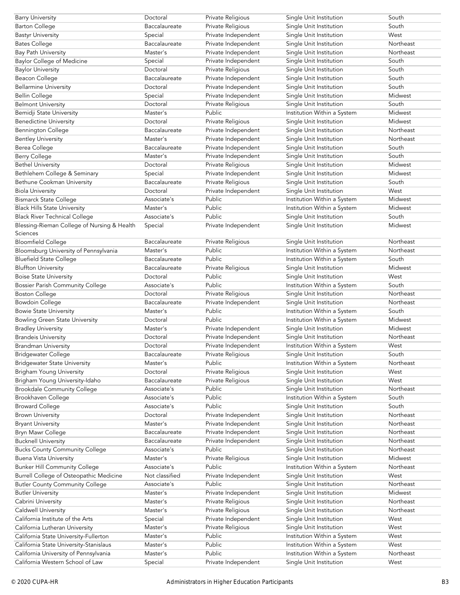| <b>Barry University</b>                     | Doctoral       | Private Religious   | Single Unit Institution     | South     |
|---------------------------------------------|----------------|---------------------|-----------------------------|-----------|
| <b>Barton College</b>                       | Baccalaureate  | Private Religious   | Single Unit Institution     | South     |
| <b>Bastyr University</b>                    | Special        | Private Independent | Single Unit Institution     | West      |
| Bates College                               | Baccalaureate  | Private Independent | Single Unit Institution     | Northeast |
| <b>Bay Path University</b>                  | Master's       | Private Independent | Single Unit Institution     | Northeast |
| <b>Baylor College of Medicine</b>           | Special        | Private Independent | Single Unit Institution     | South     |
| <b>Baylor University</b>                    | Doctoral       | Private Religious   | Single Unit Institution     | South     |
| Beacon College                              | Baccalaureate  | Private Independent | Single Unit Institution     | South     |
| <b>Bellarmine University</b>                | Doctoral       | Private Independent | Single Unit Institution     | South     |
| <b>Bellin College</b>                       | Special        | Private Independent | Single Unit Institution     | Midwest   |
|                                             | Doctoral       |                     |                             | South     |
| <b>Belmont University</b>                   |                | Private Religious   | Single Unit Institution     |           |
| Bemidji State University                    | Master's       | Public              | Institution Within a System | Midwest   |
| <b>Benedictine University</b>               | Doctoral       | Private Religious   | Single Unit Institution     | Midwest   |
| <b>Bennington College</b>                   | Baccalaureate  | Private Independent | Single Unit Institution     | Northeast |
| <b>Bentley University</b>                   | Master's       | Private Independent | Single Unit Institution     | Northeast |
| Berea College                               | Baccalaureate  | Private Independent | Single Unit Institution     | South     |
| <b>Berry College</b>                        | Master's       | Private Independent | Single Unit Institution     | South     |
| <b>Bethel University</b>                    | Doctoral       | Private Religious   | Single Unit Institution     | Midwest   |
| Bethlehem College & Seminary                | Special        | Private Independent | Single Unit Institution     | Midwest   |
| Bethune Cookman University                  | Baccalaureate  | Private Religious   | Single Unit Institution     | South     |
| <b>Biola University</b>                     | Doctoral       | Private Independent | Single Unit Institution     | West      |
| <b>Bismarck State College</b>               | Associate's    | Public              | Institution Within a System | Midwest   |
| <b>Black Hills State University</b>         | Master's       | Public              | Institution Within a System | Midwest   |
| <b>Black River Technical College</b>        | Associate's    | Public              | Single Unit Institution     | South     |
| Blessing-Rieman College of Nursing & Health | Special        | Private Independent | Single Unit Institution     | Midwest   |
| Sciences                                    |                |                     |                             |           |
| <b>Bloomfield College</b>                   | Baccalaureate  | Private Religious   | Single Unit Institution     | Northeast |
| Bloomsburg University of Pennsylvania       | Master's       | Public              | Institution Within a System | Northeast |
|                                             | Baccalaureate  | Public              |                             | South     |
| <b>Bluefield State College</b>              |                |                     | Institution Within a System |           |
| <b>Bluffton University</b>                  | Baccalaureate  | Private Religious   | Single Unit Institution     | Midwest   |
| <b>Boise State University</b>               | Doctoral       | Public              | Single Unit Institution     | West      |
| <b>Bossier Parish Community College</b>     | Associate's    | Public              | Institution Within a System | South     |
| <b>Boston College</b>                       | Doctoral       | Private Religious   | Single Unit Institution     | Northeast |
| <b>Bowdoin College</b>                      | Baccalaureate  | Private Independent | Single Unit Institution     | Northeast |
| <b>Bowie State University</b>               | Master's       | Public              | Institution Within a System | South     |
| <b>Bowling Green State University</b>       | Doctoral       | Public              | Institution Within a System | Midwest   |
| <b>Bradley University</b>                   | Master's       | Private Independent | Single Unit Institution     | Midwest   |
| <b>Brandeis University</b>                  | Doctoral       | Private Independent | Single Unit Institution     | Northeast |
| <b>Brandman University</b>                  | Doctoral       | Private Independent | Institution Within a System | West      |
| <b>Bridgewater College</b>                  | Baccalaureate  | Private Religious   | Single Unit Institution     | South     |
| <b>Bridgewater State University</b>         | Master's       | Public              | Institution Within a System | Northeast |
| <b>Brigham Young University</b>             | Doctoral       | Private Religious   | Single Unit Institution     | West      |
| Brigham Young University-Idaho              | Baccalaureate  | Private Religious   | Single Unit Institution     | West      |
| <b>Brookdale Community College</b>          | Associate's    | Public              | Single Unit Institution     | Northeast |
| Brookhaven College                          | Associate's    | Public              | Institution Within a System | South     |
| <b>Broward College</b>                      | Associate's    | Public              | Single Unit Institution     | South     |
|                                             | Doctoral       | Private Independent | Single Unit Institution     | Northeast |
| <b>Brown University</b>                     |                |                     |                             | Northeast |
| <b>Bryant University</b>                    | Master's       | Private Independent | Single Unit Institution     |           |
| Bryn Mawr College                           | Baccalaureate  | Private Independent | Single Unit Institution     | Northeast |
| <b>Bucknell University</b>                  | Baccalaureate  | Private Independent | Single Unit Institution     | Northeast |
| <b>Bucks County Community College</b>       | Associate's    | Public              | Single Unit Institution     | Northeast |
| <b>Buena Vista University</b>               | Master's       | Private Religious   | Single Unit Institution     | Midwest   |
| <b>Bunker Hill Community College</b>        | Associate's    | Public              | Institution Within a System | Northeast |
| Burrell College of Osteopathic Medicine     | Not classified | Private Independent | Single Unit Institution     | West      |
| <b>Butler County Community College</b>      | Associate's    | Public              | Single Unit Institution     | Northeast |
| <b>Butler University</b>                    | Master's       | Private Independent | Single Unit Institution     | Midwest   |
| Cabrini University                          | Master's       | Private Religious   | Single Unit Institution     | Northeast |
| Caldwell University                         | Master's       | Private Religious   | Single Unit Institution     | Northeast |
| California Institute of the Arts            | Special        | Private Independent | Single Unit Institution     | West      |
| California Lutheran University              | Master's       | Private Religious   | Single Unit Institution     | West      |
| California State University-Fullerton       | Master's       | Public              | Institution Within a System | West      |
| California State University-Stanislaus      | Master's       | Public              | Institution Within a System | West      |
| California University of Pennsylvania       | Master's       | Public              | Institution Within a System | Northeast |
| California Western School of Law            |                |                     |                             |           |
|                                             | Special        | Private Independent | Single Unit Institution     | West      |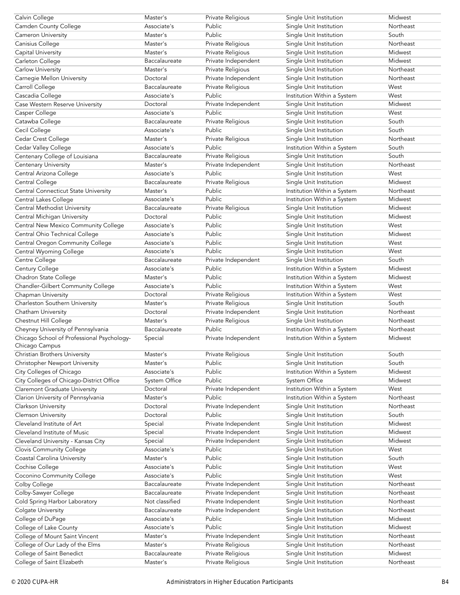| Calvin College                              | Master's             | Private Religious           | Single Unit Institution     | Midwest   |
|---------------------------------------------|----------------------|-----------------------------|-----------------------------|-----------|
| Camden County College                       | Associate's          | Public                      | Single Unit Institution     | Northeast |
| Cameron University                          | Master's             | Public                      | Single Unit Institution     | South     |
| Canisius College                            | Master's             | Private Religious           | Single Unit Institution     | Northeast |
| Capital University                          | Master's             | Private Religious           | Single Unit Institution     | Midwest   |
| Carleton College                            | Baccalaureate        | Private Independent         | Single Unit Institution     | Midwest   |
| Carlow University                           | Master's             | Private Religious           | Single Unit Institution     | Northeast |
| Carnegie Mellon University                  | Doctoral             | Private Independent         | Single Unit Institution     | Northeast |
| Carroll College                             | Baccalaureate        | Private Religious           | Single Unit Institution     | West      |
| Cascadia College                            | Associate's          | <b>Public</b>               | Institution Within a System | West      |
| Case Western Reserve University             | Doctoral             | Private Independent         | Single Unit Institution     | Midwest   |
| Casper College                              | Associate's          | Public                      | Single Unit Institution     | West      |
| Catawba College                             | Baccalaureate        | Private Religious           | Single Unit Institution     | South     |
| Cecil College                               | Associate's          | Public                      | Single Unit Institution     | South     |
| Cedar Crest College                         | Master's             |                             |                             | Northeast |
|                                             | Associate's          | Private Religious<br>Public | Single Unit Institution     |           |
| Cedar Valley College                        |                      |                             | Institution Within a System | South     |
| Centenary College of Louisiana              | Baccalaureate        | Private Religious           | Single Unit Institution     | South     |
| Centenary University                        | Master's             | Private Independent         | Single Unit Institution     | Northeast |
| Central Arizona College                     | Associate's          | Public                      | Single Unit Institution     | West      |
| Central College                             | Baccalaureate        | Private Religious           | Single Unit Institution     | Midwest   |
| <b>Central Connecticut State University</b> | Master's             | Public                      | Institution Within a System | Northeast |
| Central Lakes College                       | Associate's          | Public                      | Institution Within a System | Midwest   |
| Central Methodist University                | Baccalaureate        | Private Religious           | Single Unit Institution     | Midwest   |
| Central Michigan University                 | Doctoral             | Public                      | Single Unit Institution     | Midwest   |
| Central New Mexico Community College        | Associate's          | Public                      | Single Unit Institution     | West      |
| Central Ohio Technical College              | Associate's          | Public                      | Single Unit Institution     | Midwest   |
| Central Oregon Community College            | Associate's          | Public                      | Single Unit Institution     | West      |
| Central Wyoming College                     | Associate's          | Public                      | Single Unit Institution     | West      |
| Centre College                              | Baccalaureate        | Private Independent         | Single Unit Institution     | South     |
| Century College                             | Associate's          | Public                      | Institution Within a System | Midwest   |
| Chadron State College                       | Master's             | Public                      | Institution Within a System | Midwest   |
| Chandler-Gilbert Community College          | Associate's          | Public                      | Institution Within a System | West      |
|                                             |                      |                             |                             |           |
|                                             | Doctoral             |                             |                             | West      |
| Chapman University                          |                      | Private Religious           | Institution Within a System |           |
| Charleston Southern University              | Master's             | Private Religious           | Single Unit Institution     | South     |
| Chatham University                          | Doctoral             | Private Independent         | Single Unit Institution     | Northeast |
| Chestnut Hill College                       | Master's             | Private Religious           | Single Unit Institution     | Northeast |
| Cheyney University of Pennsylvania          | Baccalaureate        | Public                      | Institution Within a System | Northeast |
| Chicago School of Professional Psychology-  | Special              | Private Independent         | Institution Within a System | Midwest   |
| Chicago Campus                              |                      |                             |                             |           |
| Christian Brothers University               | Master's             | Private Religious           | Single Unit Institution     | South     |
| Christopher Newport University              | Master's             | Public                      | Single Unit Institution     | South     |
| City Colleges of Chicago                    | Associate's          | Public                      | Institution Within a System | Midwest   |
| City Colleges of Chicago-District Office    | <b>System Office</b> | Public                      | System Office               | Midwest   |
| Claremont Graduate University               | Doctoral             | Private Independent         | Institution Within a System | West      |
| Clarion University of Pennsylvania          | Master's             | Public                      | Institution Within a System | Northeast |
| Clarkson University                         | Doctoral             | Private Independent         | Single Unit Institution     | Northeast |
| Clemson University                          | Doctoral             | Public                      | Single Unit Institution     | South     |
| Cleveland Institute of Art                  | Special              | Private Independent         | Single Unit Institution     | Midwest   |
| Cleveland Institute of Music                | Special              | Private Independent         | Single Unit Institution     | Midwest   |
| Cleveland University - Kansas City          | Special              | Private Independent         | Single Unit Institution     | Midwest   |
| <b>Clovis Community College</b>             | Associate's          | Public                      | Single Unit Institution     | West      |
| Coastal Carolina University                 | Master's             | Public                      | Single Unit Institution     | South     |
| Cochise College                             | Associate's          | Public                      | Single Unit Institution     | West      |
| Coconino Community College                  | Associate's          | Public                      | Single Unit Institution     | West      |
| Colby College                               | Baccalaureate        | Private Independent         | Single Unit Institution     | Northeast |
| Colby-Sawyer College                        | Baccalaureate        | Private Independent         | Single Unit Institution     | Northeast |
| Cold Spring Harbor Laboratory               | Not classified       | Private Independent         | Single Unit Institution     | Northeast |
| Colgate University                          | Baccalaureate        | Private Independent         | Single Unit Institution     | Northeast |
| College of DuPage                           | Associate's          | Public                      | Single Unit Institution     | Midwest   |
| College of Lake County                      | Associate's          | Public                      | Single Unit Institution     | Midwest   |
| College of Mount Saint Vincent              | Master's             | Private Independent         | Single Unit Institution     | Northeast |
| College of Our Lady of the Elms             | Master's             | Private Religious           | Single Unit Institution     | Northeast |
| College of Saint Benedict                   | Baccalaureate        | Private Religious           | Single Unit Institution     | Midwest   |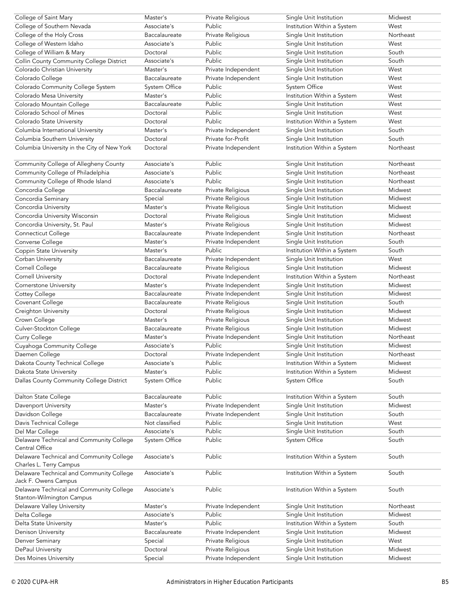| College of Saint Mary                                                 | Master's       | Private Religious   | Single Unit Institution                                | Midwest   |
|-----------------------------------------------------------------------|----------------|---------------------|--------------------------------------------------------|-----------|
| College of Southern Nevada                                            | Associate's    | Public              | Institution Within a System                            | West      |
| College of the Holy Cross                                             | Baccalaureate  | Private Religious   | Single Unit Institution                                | Northeast |
| College of Western Idaho                                              | Associate's    | Public              | Single Unit Institution                                | West      |
| College of William & Mary                                             | Doctoral       | Public              | Single Unit Institution                                | South     |
| Collin County Community College District                              | Associate's    | Public              | Single Unit Institution                                | South     |
| Colorado Christian University                                         | Master's       | Private Independent | Single Unit Institution                                | West      |
| Colorado College                                                      | Baccalaureate  | Private Independent | Single Unit Institution                                | West      |
| Colorado Community College System                                     | System Office  | Public              | System Office                                          | West      |
| Colorado Mesa University                                              | Master's       | Public              | Institution Within a System                            | West      |
| Colorado Mountain College                                             | Baccalaureate  | Public              | Single Unit Institution                                | West      |
| Colorado School of Mines                                              | Doctoral       | Public              | Single Unit Institution                                | West      |
| Colorado State University                                             | Doctoral       | Public              | Institution Within a System                            | West      |
| Columbia International University                                     | Master's       | Private Independent | Single Unit Institution                                | South     |
|                                                                       | Doctoral       | Private for-Profit  |                                                        | South     |
| Columbia Southern University                                          |                |                     | Single Unit Institution<br>Institution Within a System |           |
| Columbia University in the City of New York                           | Doctoral       | Private Independent |                                                        | Northeast |
| Community College of Allegheny County                                 | Associate's    | Public              | Single Unit Institution                                | Northeast |
| Community College of Philadelphia                                     | Associate's    | Public              | Single Unit Institution                                | Northeast |
| Community College of Rhode Island                                     | Associate's    | Public              | Single Unit Institution                                | Northeast |
| Concordia College                                                     | Baccalaureate  | Private Religious   | Single Unit Institution                                | Midwest   |
| Concordia Seminary                                                    | Special        | Private Religious   | Single Unit Institution                                | Midwest   |
| Concordia University                                                  | Master's       | Private Religious   | Single Unit Institution                                | Midwest   |
| Concordia University Wisconsin                                        | Doctoral       | Private Religious   | Single Unit Institution                                | Midwest   |
| Concordia University, St. Paul                                        | Master's       | Private Religious   | Single Unit Institution                                | Midwest   |
| Connecticut College                                                   | Baccalaureate  | Private Independent | Single Unit Institution                                | Northeast |
| Converse College                                                      | Master's       | Private Independent | Single Unit Institution                                | South     |
| Coppin State University                                               | Master's       | Public              | Institution Within a System                            | South     |
| Corban University                                                     | Baccalaureate  | Private Independent |                                                        | West      |
|                                                                       |                |                     | Single Unit Institution                                | Midwest   |
| Cornell College                                                       | Baccalaureate  | Private Religious   | Single Unit Institution                                |           |
| <b>Cornell University</b>                                             | Doctoral       | Private Independent | Institution Within a System                            | Northeast |
| Cornerstone University                                                | Master's       | Private Independent | Single Unit Institution                                | Midwest   |
| Cottey College                                                        | Baccalaureate  | Private Independent | Single Unit Institution                                | Midwest   |
| Covenant College                                                      | Baccalaureate  | Private Religious   | Single Unit Institution                                | South     |
| Creighton University                                                  | Doctoral       | Private Religious   | Single Unit Institution                                | Midwest   |
| Crown College                                                         | Master's       | Private Religious   | Single Unit Institution                                | Midwest   |
| Culver-Stockton College                                               | Baccalaureate  | Private Religious   | Single Unit Institution                                | Midwest   |
| Curry College                                                         | Master's       | Private Independent | Single Unit Institution                                | Northeast |
| Cuyahoga Community College                                            | Associate's    | Public              | Single Unit Institution                                | Midwest   |
| Daemen College                                                        | Doctoral       | Private Independent | Single Unit Institution                                | Northeast |
| Dakota County Technical College                                       | Associate's    | Public              | Institution Within a System                            | Midwest   |
| Dakota State University                                               | Master's       | Public              | Institution Within a System                            | Midwest   |
| Dallas County Community College District                              | System Office  | Public              | <b>System Office</b>                                   | South     |
| Dalton State College                                                  | Baccalaureate  | Public              | Institution Within a System                            | South     |
|                                                                       | Master's       | Private Independent | Single Unit Institution                                | Midwest   |
| Davenport University                                                  |                |                     |                                                        |           |
| Davidson College                                                      | Baccalaureate  | Private Independent | Single Unit Institution                                | South     |
| Davis Technical College                                               | Not classified | Public              | Single Unit Institution                                | West      |
| Del Mar College                                                       | Associate's    | Public              | Single Unit Institution                                | South     |
| Delaware Technical and Community College<br>Central Office            | System Office  | Public              | System Office                                          | South     |
| Delaware Technical and Community College<br>Charles L. Terry Campus   | Associate's    | Public              | Institution Within a System                            | South     |
| Delaware Technical and Community College<br>Jack F. Owens Campus      | Associate's    | Public              | Institution Within a System                            | South     |
| Delaware Technical and Community College<br>Stanton-Wilmington Campus | Associate's    | Public              | Institution Within a System                            | South     |
| Delaware Valley University                                            | Master's       | Private Independent | Single Unit Institution                                | Northeast |
| Delta College                                                         | Associate's    | Public              | Single Unit Institution                                | Midwest   |
| Delta State University                                                | Master's       | Public              | Institution Within a System                            | South     |
| Denison University                                                    | Baccalaureate  | Private Independent | Single Unit Institution                                | Midwest   |
| Denver Seminary                                                       | Special        | Private Religious   | Single Unit Institution                                | West      |
| DePaul University                                                     | Doctoral       | Private Religious   | Single Unit Institution                                | Midwest   |
| Des Moines University                                                 | Special        | Private Independent | Single Unit Institution                                | Midwest   |
|                                                                       |                |                     |                                                        |           |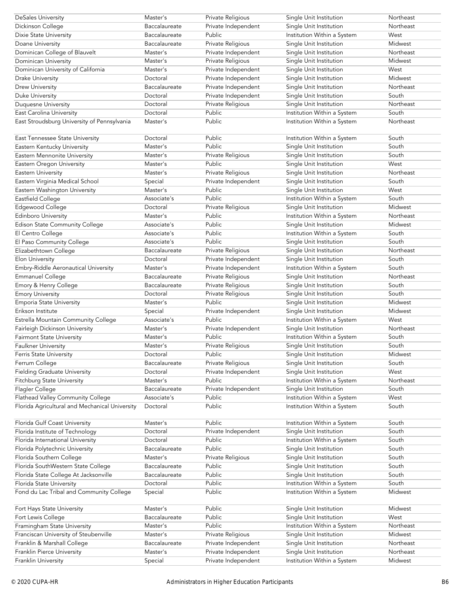| <b>DeSales University</b>                      | Master's      | Private Religious   | Single Unit Institution     | Northeast |
|------------------------------------------------|---------------|---------------------|-----------------------------|-----------|
| Dickinson College                              | Baccalaureate | Private Independent | Single Unit Institution     | Northeast |
| Dixie State University                         | Baccalaureate | Public              | Institution Within a System | West      |
| Doane University                               | Baccalaureate | Private Religious   | Single Unit Institution     | Midwest   |
| Dominican College of Blauvelt                  | Master's      | Private Independent | Single Unit Institution     | Northeast |
| Dominican University                           | Master's      | Private Religious   | Single Unit Institution     | Midwest   |
| Dominican University of California             | Master's      | Private Independent | Single Unit Institution     | West      |
| <b>Drake University</b>                        | Doctoral      | Private Independent | Single Unit Institution     | Midwest   |
| <b>Drew University</b>                         | Baccalaureate | Private Independent | Single Unit Institution     | Northeast |
| Duke University                                | Doctoral      | Private Independent | Single Unit Institution     | South     |
| Duquesne University                            | Doctoral      | Private Religious   | Single Unit Institution     | Northeast |
| East Carolina University                       | Doctoral      | Public              | Institution Within a System | South     |
| East Stroudsburg University of Pennsylvania    | Master's      | Public              | Institution Within a System | Northeast |
|                                                |               |                     |                             |           |
| East Tennessee State University                | Doctoral      | Public              | Institution Within a System | South     |
| Eastern Kentucky University                    | Master's      | Public              | Single Unit Institution     | South     |
| Eastern Mennonite University                   | Master's      | Private Religious   | Single Unit Institution     | South     |
| Eastern Oregon University                      | Master's      | Public              | Single Unit Institution     | West      |
| Eastern University                             | Master's      | Private Religious   | Single Unit Institution     | Northeast |
| Eastern Virginia Medical School                | Special       | Private Independent | Single Unit Institution     | South     |
| Eastern Washington University                  | Master's      | Public              | Single Unit Institution     | West      |
| Eastfield College                              | Associate's   | Public              | Institution Within a System | South     |
| Edgewood College                               | Doctoral      | Private Religious   | Single Unit Institution     | Midwest   |
| Edinboro University                            | Master's      | Public              | Institution Within a System | Northeast |
| Edison State Community College                 | Associate's   | Public              | Single Unit Institution     | Midwest   |
| El Centro College                              | Associate's   | Public              | Institution Within a System | South     |
| El Paso Community College                      | Associate's   | Public              | Single Unit Institution     | South     |
| Elizabethtown College                          | Baccalaureate | Private Religious   | Single Unit Institution     | Northeast |
| Elon University                                | Doctoral      | Private Independent | Single Unit Institution     | South     |
| Embry-Riddle Aeronautical University           | Master's      | Private Independent | Institution Within a System | South     |
| Emmanuel College                               | Baccalaureate | Private Religious   | Single Unit Institution     | Northeast |
| Emory & Henry College                          | Baccalaureate | Private Religious   | Single Unit Institution     | South     |
| <b>Emory University</b>                        | Doctoral      | Private Religious   | Single Unit Institution     | South     |
| <b>Emporia State University</b>                | Master's      | Public              | Single Unit Institution     | Midwest   |
| Erikson Institute                              | Special       | Private Independent | Single Unit Institution     | Midwest   |
| Estrella Mountain Community College            | Associate's   | Public              | Institution Within a System | West      |
| Fairleigh Dickinson University                 | Master's      | Private Independent | Single Unit Institution     | Northeast |
| <b>Fairmont State University</b>               | Master's      | Public              | Institution Within a System | South     |
| <b>Faulkner University</b>                     | Master's      | Private Religious   | Single Unit Institution     | South     |
| Ferris State University                        | Doctoral      | Public              | Single Unit Institution     | Midwest   |
| Ferrum College                                 | Baccalaureate | Private Religious   | Single Unit Institution     | South     |
| <b>Fielding Graduate University</b>            | Doctoral      | Private Independent | Single Unit Institution     | West      |
| Fitchburg State University                     | Master's      | Public              | Institution Within a System | Northeast |
| Flagler College                                | Baccalaureate | Private Independent | Single Unit Institution     | South     |
| Flathead Valley Community College              | Associate's   | Public              | Institution Within a System | West      |
| Florida Agricultural and Mechanical University | Doctoral      | Public              | Institution Within a System | South     |
|                                                |               |                     |                             |           |
| Florida Gulf Coast University                  | Master's      | Public              | Institution Within a System | South     |
| Florida Institute of Technology                | Doctoral      | Private Independent | Single Unit Institution     | South     |
| Florida International University               | Doctoral      | Public              | Institution Within a System | South     |
| Florida Polytechnic University                 | Baccalaureate | Public              | Single Unit Institution     | South     |
| Florida Southern College                       | Master's      | Private Religious   | Single Unit Institution     | South     |
| Florida SouthWestern State College             | Baccalaureate | Public              | Single Unit Institution     | South     |
| Florida State College At Jacksonville          | Baccalaureate | Public              | Single Unit Institution     | South     |
| Florida State University                       | Doctoral      | Public              | Institution Within a System | South     |
| Fond du Lac Tribal and Community College       | Special       | Public              | Institution Within a System | Midwest   |
| Fort Hays State University                     | Master's      | Public              | Single Unit Institution     | Midwest   |
| Fort Lewis College                             | Baccalaureate | Public              | Single Unit Institution     | West      |
| Framingham State University                    | Master's      | Public              | Institution Within a System | Northeast |
| Franciscan University of Steubenville          | Master's      | Private Religious   | Single Unit Institution     | Midwest   |
| Franklin & Marshall College                    | Baccalaureate | Private Independent | Single Unit Institution     | Northeast |
| Franklin Pierce University                     | Master's      | Private Independent | Single Unit Institution     | Northeast |
| Franklin University                            | Special       | Private Independent | Institution Within a System | Midwest   |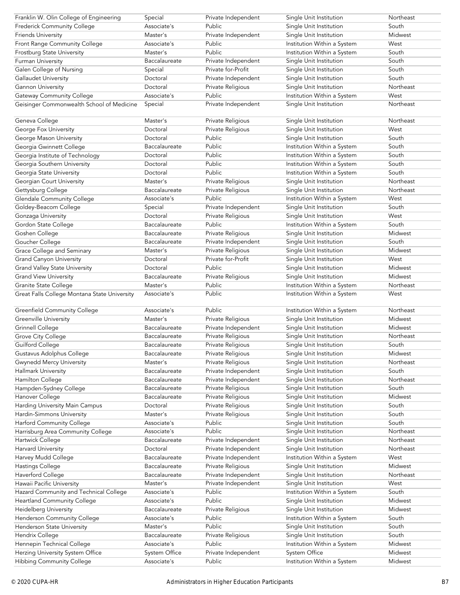| Franklin W. Olin College of Engineering                              | Special                      | Private Independent           | Single Unit Institution                      | Northeast          |
|----------------------------------------------------------------------|------------------------------|-------------------------------|----------------------------------------------|--------------------|
| Frederick Community College                                          | Associate's                  | Public                        | Single Unit Institution                      | South              |
| <b>Friends University</b>                                            | Master's                     | Private Independent           | Single Unit Institution                      | Midwest            |
| Front Range Community College                                        | Associate's                  | Public                        | Institution Within a System                  | West               |
| Frostburg State University                                           | Master's                     | Public                        | Institution Within a System                  | South              |
| Furman University                                                    | Baccalaureate                | Private Independent           | Single Unit Institution                      | South              |
| Galen College of Nursing                                             | Special                      | Private for-Profit            | Single Unit Institution                      | South              |
| Gallaudet University                                                 | Doctoral                     | Private Independent           | Single Unit Institution                      | South              |
| Gannon University                                                    | Doctoral                     | Private Religious             | Single Unit Institution                      | Northeast          |
| <b>Gateway Community College</b>                                     | Associate's                  | Public                        | Institution Within a System                  | West               |
| Geisinger Commonwealth School of Medicine                            | Special                      | Private Independent           | Single Unit Institution                      | Northeast          |
|                                                                      |                              |                               |                                              |                    |
| Geneva College                                                       | Master's                     | Private Religious             | Single Unit Institution                      | Northeast          |
| George Fox University                                                | Doctoral                     | Private Religious             | Single Unit Institution                      | West               |
| George Mason University                                              | Doctoral                     | Public                        | Single Unit Institution                      | South              |
| Georgia Gwinnett College                                             | Baccalaureate                | Public                        | Institution Within a System                  | South              |
| Georgia Institute of Technology                                      | Doctoral                     | Public                        | Institution Within a System                  | South              |
| Georgia Southern University                                          | Doctoral                     | Public                        | Institution Within a System                  | South              |
| Georgia State University                                             | Doctoral                     | Public                        | Institution Within a System                  | South              |
| Georgian Court University                                            | Master's                     |                               | Single Unit Institution                      | Northeast          |
|                                                                      | Baccalaureate                | Private Religious             |                                              | Northeast          |
| Gettysburg College                                                   |                              | Private Religious             | Single Unit Institution                      |                    |
| <b>Glendale Community College</b>                                    | Associate's                  | Public                        | Institution Within a System                  | West               |
| Goldey-Beacom College                                                | Special                      | Private Independent           | Single Unit Institution                      | South              |
| Gonzaga University                                                   | Doctoral                     | Private Religious             | Single Unit Institution                      | West               |
| Gordon State College                                                 | Baccalaureate                | Public                        | Institution Within a System                  | South              |
| Goshen College                                                       | Baccalaureate                | Private Religious             | Single Unit Institution                      | Midwest            |
| Goucher College                                                      | Baccalaureate                | Private Independent           | Single Unit Institution                      | South              |
| Grace College and Seminary                                           | Master's                     | Private Religious             | Single Unit Institution                      | Midwest            |
| <b>Grand Canyon University</b>                                       | Doctoral                     | Private for-Profit            | Single Unit Institution                      | West               |
| <b>Grand Valley State University</b>                                 | Doctoral                     | Public                        | Single Unit Institution                      | Midwest            |
| <b>Grand View University</b>                                         | Baccalaureate                | Private Religious             | Single Unit Institution                      | Midwest            |
| Granite State College                                                | Master's                     | Public                        | Institution Within a System                  | Northeast          |
| Great Falls College Montana State University                         | Associate's                  | Public                        | Institution Within a System                  | West               |
|                                                                      |                              |                               |                                              |                    |
| <b>Greenfield Community College</b>                                  | Associate's                  | Public                        | Institution Within a System                  | Northeast          |
| Greenville University                                                | Master's                     | Private Religious             | Single Unit Institution                      | Midwest            |
|                                                                      |                              |                               |                                              |                    |
| <b>Grinnell College</b>                                              | Baccalaureate                | Private Independent           | Single Unit Institution                      | Midwest            |
| Grove City College                                                   | Baccalaureate                | Private Religious             | Single Unit Institution                      | Northeast          |
| Guilford College                                                     | Baccalaureate                | Private Religious             | Single Unit Institution                      | South              |
| Gustavus Adolphus College                                            | Baccalaureate                | Private Religious             | Single Unit Institution                      | Midwest            |
| <b>Gwynedd Mercy University</b>                                      | Master's                     | Private Religious             | Single Unit Institution                      | Northeast          |
|                                                                      | Baccalaureate                | Private Independent           |                                              | South              |
| Hallmark University                                                  | Baccalaureate                |                               | Single Unit Institution                      | Northeast          |
| Hamilton College                                                     | Baccalaureate                | Private Independent           | Single Unit Institution                      |                    |
| Hampden-Sydney College                                               | Baccalaureate                | Private Religious             | Single Unit Institution                      | South<br>Midwest   |
| Hanover College                                                      |                              | Private Religious             | Single Unit Institution                      |                    |
| Harding University Main Campus                                       | Doctoral                     | Private Religious             | Single Unit Institution                      | South              |
| Hardin-Simmons University                                            | Master's                     | Private Religious             | Single Unit Institution                      | South              |
| Harford Community College                                            | Associate's                  | Public                        | Single Unit Institution                      | South              |
| Harrisburg Area Community College                                    | Associate's                  | Public                        | Single Unit Institution                      | Northeast          |
| Hartwick College                                                     | Baccalaureate                | Private Independent           | Single Unit Institution                      | Northeast          |
| <b>Harvard University</b>                                            | Doctoral                     | Private Independent           | Single Unit Institution                      | Northeast          |
| Harvey Mudd College                                                  | Baccalaureate                | Private Independent           | Institution Within a System                  | West               |
| Hastings College                                                     | Baccalaureate                | Private Religious             | Single Unit Institution                      | Midwest            |
| Haverford College                                                    | Baccalaureate                | Private Independent           | Single Unit Institution                      | Northeast          |
| Hawaii Pacific University                                            | Master's                     | Private Independent           | Single Unit Institution                      | West               |
| Hazard Community and Technical College                               | Associate's                  | Public                        | Institution Within a System                  | South              |
| Heartland Community College                                          | Associate's                  | Public                        | Single Unit Institution                      | Midwest            |
| Heidelberg University                                                | Baccalaureate                | Private Religious             | Single Unit Institution                      | Midwest            |
| Henderson Community College                                          | Associate's                  | Public                        | Institution Within a System                  | South              |
| Henderson State University                                           | Master's                     | Public                        | Single Unit Institution                      | South              |
| Hendrix College                                                      | Baccalaureate                | Private Religious             | Single Unit Institution                      | South              |
| Hennepin Technical College                                           | Associate's                  | Public                        | Institution Within a System                  | Midwest            |
| Herzing University System Office<br><b>Hibbing Community College</b> | System Office<br>Associate's | Private Independent<br>Public | System Office<br>Institution Within a System | Midwest<br>Midwest |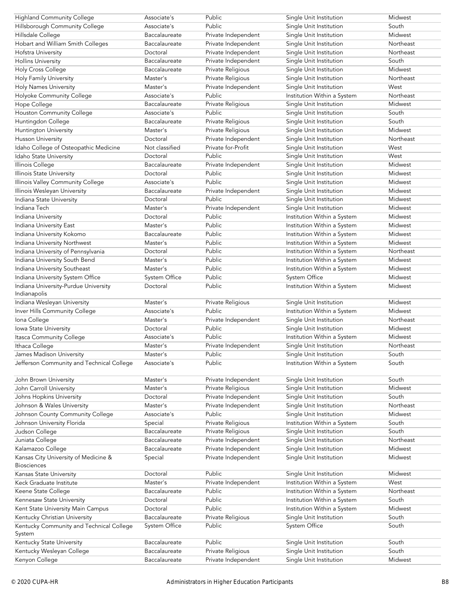| <b>Highland Community College</b>                             | Associate's                    | Public                                   | Single Unit Institution                                | Midwest          |
|---------------------------------------------------------------|--------------------------------|------------------------------------------|--------------------------------------------------------|------------------|
| Hillsborough Community College                                | Associate's                    | Public                                   | Single Unit Institution                                | South            |
| Hillsdale College                                             | Baccalaureate                  | Private Independent                      | Single Unit Institution                                | Midwest          |
| Hobart and William Smith Colleges                             | Baccalaureate                  | Private Independent                      | Single Unit Institution                                | Northeast        |
| Hofstra University                                            | Doctoral                       | Private Independent                      | Single Unit Institution                                | Northeast        |
| <b>Hollins University</b>                                     | Baccalaureate                  | Private Independent                      | Single Unit Institution                                | South            |
| Holy Cross College                                            | Baccalaureate                  | Private Religious                        | Single Unit Institution                                | Midwest          |
| Holy Family University                                        | Master's                       | Private Religious                        | Single Unit Institution                                | Northeast        |
| Holy Names University                                         | Master's                       | Private Independent                      | Single Unit Institution                                | West             |
| Holyoke Community College                                     | Associate's                    | Public                                   | Institution Within a System                            | Northeast        |
| Hope College                                                  | Baccalaureate                  | Private Religious                        | Single Unit Institution                                | Midwest          |
| Houston Community College                                     | Associate's                    | Public                                   | Single Unit Institution                                | South            |
| Huntingdon College                                            | Baccalaureate                  | Private Religious                        | Single Unit Institution                                | South            |
| Huntington University                                         | Master's                       | Private Religious                        | Single Unit Institution                                | Midwest          |
| Husson University                                             | Doctoral                       | Private Independent                      | Single Unit Institution                                | Northeast        |
| Idaho College of Osteopathic Medicine                         | Not classified                 | Private for-Profit                       | Single Unit Institution                                | West             |
| Idaho State University                                        | Doctoral                       | Public                                   | Single Unit Institution                                | West             |
| Illinois College                                              | Baccalaureate                  | Private Independent                      | Single Unit Institution                                | Midwest          |
| Illinois State University                                     | Doctoral                       | Public                                   | Single Unit Institution                                | Midwest          |
| Illinois Valley Community College                             | Associate's                    | Public                                   | Single Unit Institution                                | Midwest          |
| Illinois Wesleyan University                                  | Baccalaureate                  | Private Independent                      | Single Unit Institution                                | Midwest          |
| Indiana State University                                      | Doctoral                       | Public                                   | Single Unit Institution                                | Midwest          |
| Indiana Tech                                                  | Master's                       | Private Independent                      | Single Unit Institution                                | Midwest          |
| Indiana University                                            | Doctoral                       | Public                                   | Institution Within a System                            | Midwest          |
| Indiana University East                                       | Master's                       | Public                                   | Institution Within a System                            | Midwest          |
| Indiana University Kokomo                                     | Baccalaureate                  | Public                                   | Institution Within a System                            | Midwest          |
| Indiana University Northwest                                  | Master's                       | Public                                   | Institution Within a System                            | Midwest          |
| Indiana University of Pennsylvania                            | Doctoral                       | Public                                   |                                                        | Northeast        |
|                                                               | Master's                       | Public                                   | Institution Within a System                            | Midwest          |
| Indiana University South Bend<br>Indiana University Southeast | Master's                       | Public                                   | Institution Within a System                            | Midwest          |
| Indiana University System Office                              | <b>System Office</b>           | Public                                   | Institution Within a System<br>System Office           | Midwest          |
|                                                               | Doctoral                       | Public                                   | Institution Within a System                            | Midwest          |
| Indiana University-Purdue University<br>Indianapolis          |                                |                                          |                                                        |                  |
| Indiana Wesleyan University                                   | Master's                       | Private Religious                        | Single Unit Institution                                | Midwest          |
| Inver Hills Community College                                 | Associate's                    | Public                                   | Institution Within a System                            | Midwest          |
| Iona College                                                  | Master's                       | Private Independent                      | Single Unit Institution                                | Northeast        |
| Iowa State University                                         | Doctoral                       | Public                                   | Single Unit Institution                                | Midwest          |
| Itasca Community College                                      | Associate's                    | Public                                   | Institution Within a System                            | Midwest          |
| Ithaca College                                                | Master's                       | Private Independent                      | Single Unit Institution                                | Northeast        |
| James Madison University                                      | Master's                       | Public                                   | Single Unit Institution                                | South            |
| Jefferson Community and Technical College                     | Associate's                    | Public                                   | Institution Within a System                            | South            |
|                                                               |                                |                                          |                                                        |                  |
| John Brown University                                         | Master's                       | Private Independent                      | Single Unit Institution                                | South            |
| John Carroll University                                       | Master's                       | Private Religious                        | Single Unit Institution                                | Midwest          |
| Johns Hopkins University                                      | Doctoral                       |                                          |                                                        |                  |
| Johnson & Wales University                                    |                                | Private Independent                      | Single Unit Institution                                | South            |
|                                                               | Master's                       | Private Independent                      | Single Unit Institution                                | Northeast        |
| Johnson County Community College                              | Associate's                    | Public                                   | Single Unit Institution                                | Midwest          |
| Johnson University Florida                                    | Special                        | Private Religious                        |                                                        | South            |
| Judson College                                                | Baccalaureate                  | Private Religious                        | Institution Within a System<br>Single Unit Institution | South            |
| Juniata College                                               | Baccalaureate                  | Private Independent                      | Single Unit Institution                                | Northeast        |
| Kalamazoo College                                             | Baccalaureate                  | Private Independent                      | Single Unit Institution                                | Midwest          |
| Kansas City University of Medicine &                          | Special                        | Private Independent                      | Single Unit Institution                                | Midwest          |
| <b>Biosciences</b>                                            |                                |                                          |                                                        |                  |
| Kansas State University                                       | Doctoral                       | Public                                   | Single Unit Institution                                | Midwest          |
| Keck Graduate Institute                                       | Master's                       | Private Independent                      | Institution Within a System                            | West             |
| Keene State College                                           | Baccalaureate                  | Public                                   | Institution Within a System                            | Northeast        |
| Kennesaw State University                                     | Doctoral                       | Public                                   | Institution Within a System                            | South            |
| Kent State University Main Campus                             | Doctoral                       | Public                                   | Institution Within a System                            | Midwest          |
| Kentucky Christian University                                 | Baccalaureate                  | Private Religious                        | Single Unit Institution                                | South            |
| Kentucky Community and Technical College                      | <b>System Office</b>           | Public                                   | System Office                                          | South            |
| System                                                        |                                |                                          |                                                        |                  |
| Kentucky State University                                     | Baccalaureate                  | Public                                   | Single Unit Institution                                | South            |
| Kentucky Wesleyan College<br>Kenyon College                   | Baccalaureate<br>Baccalaureate | Private Religious<br>Private Independent | Single Unit Institution<br>Single Unit Institution     | South<br>Midwest |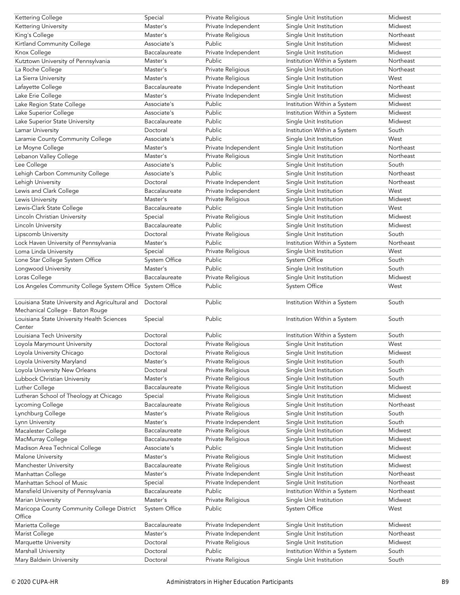| Kettering College                                                                   | Special              | Private Religious   | Single Unit Institution     | Midwest   |
|-------------------------------------------------------------------------------------|----------------------|---------------------|-----------------------------|-----------|
| Kettering University                                                                | Master's             | Private Independent | Single Unit Institution     | Midwest   |
| King's College                                                                      | Master's             | Private Religious   | Single Unit Institution     | Northeast |
| Kirtland Community College                                                          | Associate's          | Public              | Single Unit Institution     | Midwest   |
| Knox College                                                                        | Baccalaureate        | Private Independent | Single Unit Institution     | Midwest   |
| Kutztown University of Pennsylvania                                                 | Master's             | Public              | Institution Within a System | Northeast |
| La Roche College                                                                    | Master's             | Private Religious   | Single Unit Institution     | Northeast |
| La Sierra University                                                                | Master's             | Private Religious   | Single Unit Institution     | West      |
| Lafayette College                                                                   | Baccalaureate        | Private Independent | Single Unit Institution     | Northeast |
| Lake Erie College                                                                   | Master's             | Private Independent | Single Unit Institution     | Midwest   |
| Lake Region State College                                                           | Associate's          | Public              | Institution Within a System | Midwest   |
| Lake Superior College                                                               | Associate's          | Public              | Institution Within a System | Midwest   |
| Lake Superior State University                                                      | Baccalaureate        | Public              | Single Unit Institution     | Midwest   |
| Lamar University                                                                    | Doctoral             | Public              | Institution Within a System | South     |
|                                                                                     |                      | Public              | Single Unit Institution     | West      |
| Laramie County Community College                                                    | Associate's          |                     |                             |           |
| Le Moyne College                                                                    | Master's             | Private Independent | Single Unit Institution     | Northeast |
| Lebanon Valley College                                                              | Master's             | Private Religious   | Single Unit Institution     | Northeast |
| Lee College                                                                         | Associate's          | Public              | Single Unit Institution     | South     |
| Lehigh Carbon Community College                                                     | Associate's          | Public              | Single Unit Institution     | Northeast |
| Lehigh University                                                                   | Doctoral             | Private Independent | Single Unit Institution     | Northeast |
| Lewis and Clark College                                                             | Baccalaureate        | Private Independent | Single Unit Institution     | West      |
| Lewis University                                                                    | Master's             | Private Religious   | Single Unit Institution     | Midwest   |
| Lewis-Clark State College                                                           | Baccalaureate        | Public              | Single Unit Institution     | West      |
| Lincoln Christian University                                                        | Special              | Private Religious   | Single Unit Institution     | Midwest   |
| Lincoln University                                                                  | Baccalaureate        | Public              | Single Unit Institution     | Midwest   |
| Lipscomb University                                                                 | Doctoral             | Private Religious   | Single Unit Institution     | South     |
| Lock Haven University of Pennsylvania                                               | Master's             | Public              | Institution Within a System | Northeast |
| Loma Linda University                                                               | Special              | Private Religious   | Single Unit Institution     | West      |
| Lone Star College System Office                                                     | System Office        | Public              | System Office               | South     |
| Longwood University                                                                 | Master's             | Public              | Single Unit Institution     | South     |
| Loras College                                                                       | Baccalaureate        | Private Religious   | Single Unit Institution     | Midwest   |
| Los Angeles Community College System Office System Office                           |                      | Public              | System Office               | West      |
| Louisiana State University and Agricultural and<br>Mechanical College - Baton Rouge | Doctoral             | Public              | Institution Within a System | South     |
| Louisiana State University Health Sciences<br>Center                                | Special              | Public              | Institution Within a System | South     |
| Louisiana Tech University                                                           | Doctoral             | Public              | Institution Within a System | South     |
| Loyola Marymount University                                                         | Doctoral             | Private Religious   | Single Unit Institution     | West      |
| Loyola University Chicago                                                           | Doctoral             | Private Religious   | Single Unit Institution     | Midwest   |
|                                                                                     |                      | Private Religious   | Single Unit Institution     | South     |
| Loyola University Maryland<br>Loyola University New Orleans                         | Master's<br>Doctoral |                     |                             | South     |
|                                                                                     |                      | Private Religious   | Single Unit Institution     |           |
| Lubbock Christian University                                                        | Master's             | Private Religious   | Single Unit Institution     | South     |
| Luther College                                                                      | Baccalaureate        | Private Religious   | Single Unit Institution     | Midwest   |
| Lutheran School of Theology at Chicago                                              | Special              | Private Religious   | Single Unit Institution     | Midwest   |
| Lycoming College                                                                    | Baccalaureate        | Private Religious   | Single Unit Institution     | Northeast |
| Lynchburg College                                                                   | Master's             | Private Religious   | Single Unit Institution     | South     |
| Lynn University                                                                     | Master's             | Private Independent | Single Unit Institution     | South     |
| Macalester College                                                                  | Baccalaureate        | Private Religious   | Single Unit Institution     | Midwest   |
| MacMurray College                                                                   | Baccalaureate        | Private Religious   | Single Unit Institution     | Midwest   |
| Madison Area Technical College                                                      | Associate's          | Public              | Single Unit Institution     | Midwest   |
| Malone University                                                                   | Master's             | Private Religious   | Single Unit Institution     | Midwest   |
| Manchester University                                                               | Baccalaureate        | Private Religious   | Single Unit Institution     | Midwest   |
| Manhattan College                                                                   | Master's             | Private Independent | Single Unit Institution     | Northeast |
| Manhattan School of Music                                                           | Special              | Private Independent | Single Unit Institution     | Northeast |
| Mansfield University of Pennsylvania                                                | Baccalaureate        | Public              | Institution Within a System | Northeast |
| Marian University                                                                   | Master's             | Private Religious   | Single Unit Institution     | Midwest   |
| Maricopa County Community College District<br>Office                                | <b>System Office</b> | Public              | System Office               | West      |
| Marietta College                                                                    | Baccalaureate        | Private Independent | Single Unit Institution     | Midwest   |
| Marist College                                                                      | Master's             | Private Independent | Single Unit Institution     | Northeast |
| Marquette University                                                                | Doctoral             | Private Religious   | Single Unit Institution     | Midwest   |
| Marshall University                                                                 | Doctoral             | Public              | Institution Within a System | South     |
|                                                                                     | Doctoral             | Private Religious   | Single Unit Institution     | South     |
| Mary Baldwin University                                                             |                      |                     |                             |           |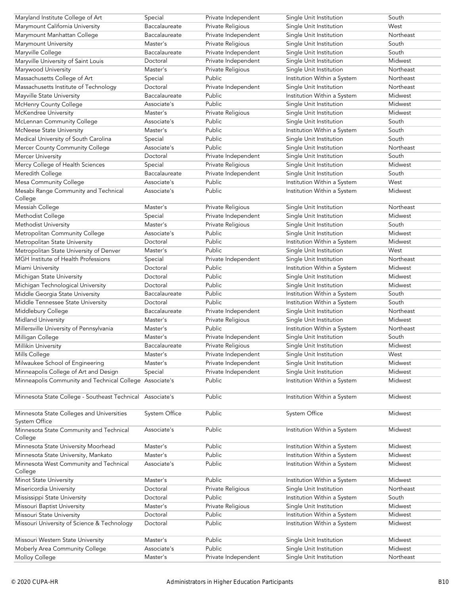| Maryland Institute College of Art                          | Special       | Private Independent | Single Unit Institution     | South     |
|------------------------------------------------------------|---------------|---------------------|-----------------------------|-----------|
| Marymount California University                            | Baccalaureate | Private Religious   | Single Unit Institution     | West      |
| Marymount Manhattan College                                | Baccalaureate | Private Independent | Single Unit Institution     | Northeast |
| Marymount University                                       | Master's      | Private Religious   | Single Unit Institution     | South     |
| Maryville College                                          | Baccalaureate | Private Independent | Single Unit Institution     | South     |
| Maryville University of Saint Louis                        | Doctoral      | Private Independent | Single Unit Institution     | Midwest   |
| Marywood University                                        | Master's      | Private Religious   | Single Unit Institution     | Northeast |
| Massachusetts College of Art                               | Special       | Public              | Institution Within a System | Northeast |
| Massachusetts Institute of Technology                      | Doctoral      | Private Independent | Single Unit Institution     | Northeast |
| Mayville State University                                  | Baccalaureate | Public              | Institution Within a System | Midwest   |
| McHenry County College                                     | Associate's   | Public              | Single Unit Institution     | Midwest   |
| McKendree University                                       | Master's      | Private Religious   | Single Unit Institution     | Midwest   |
| McLennan Community College                                 | Associate's   | Public              | Single Unit Institution     | South     |
|                                                            | Master's      | Public              |                             | South     |
| <b>McNeese State University</b>                            |               |                     | Institution Within a System |           |
| Medical University of South Carolina                       | Special       | Public              | Single Unit Institution     | South     |
| Mercer County Community College                            | Associate's   | Public              | Single Unit Institution     | Northeast |
| <b>Mercer University</b>                                   | Doctoral      | Private Independent | Single Unit Institution     | South     |
| Mercy College of Health Sciences                           | Special       | Private Religious   | Single Unit Institution     | Midwest   |
| Meredith College                                           | Baccalaureate | Private Independent | Single Unit Institution     | South     |
| Mesa Community College                                     | Associate's   | Public              | Institution Within a System | West      |
| Mesabi Range Community and Technical<br>College            | Associate's   | Public              | Institution Within a System | Midwest   |
| Messiah College                                            | Master's      | Private Religious   | Single Unit Institution     | Northeast |
| Methodist College                                          | Special       | Private Independent | Single Unit Institution     | Midwest   |
| Methodist University                                       | Master's      | Private Religious   | Single Unit Institution     | South     |
| Metropolitan Community College                             | Associate's   | Public              | Single Unit Institution     | Midwest   |
| Metropolitan State University                              | Doctoral      | Public              | Institution Within a System | Midwest   |
| Metropolitan State University of Denver                    | Master's      | Public              | Single Unit Institution     | West      |
| MGH Institute of Health Professions                        | Special       | Private Independent | Single Unit Institution     | Northeast |
| Miami University                                           | Doctoral      | Public              | Institution Within a System | Midwest   |
|                                                            | Doctoral      | Public              |                             | Midwest   |
| Michigan State University                                  |               | Public              | Single Unit Institution     | Midwest   |
| Michigan Technological University                          | Doctoral      |                     | Single Unit Institution     |           |
| Middle Georgia State University                            | Baccalaureate | Public              | Institution Within a System | South     |
| Middle Tennessee State University                          | Doctoral      | Public              | Institution Within a System | South     |
| Middlebury College                                         | Baccalaureate | Private Independent | Single Unit Institution     | Northeast |
| Midland University                                         | Master's      | Private Religious   | Single Unit Institution     | Midwest   |
| Millersville University of Pennsylvania                    | Master's      | Public              | Institution Within a System | Northeast |
| Milligan College                                           | Master's      | Private Independent | Single Unit Institution     | South     |
| Millikin University                                        | Baccalaureate | Private Religious   | Single Unit Institution     | Midwest   |
| Mills College                                              | Master's      | Private Independent | Single Unit Institution     | West      |
| Milwaukee School of Engineering                            | Master's      | Private Independent | Single Unit Institution     | Midwest   |
| Minneapolis College of Art and Design                      | Special       | Private Independent | Single Unit Institution     | Midwest   |
| Minneapolis Community and Technical College Associate's    |               | Public              | Institution Within a System | Midwest   |
|                                                            |               |                     |                             |           |
| Minnesota State College - Southeast Technical              | Associate's   | Public              | Institution Within a System | Midwest   |
| Minnesota State Colleges and Universities<br>System Office | System Office | Public              | <b>System Office</b>        | Midwest   |
| Minnesota State Community and Technical                    | Associate's   | Public              | Institution Within a System | Midwest   |
| College                                                    |               |                     |                             |           |
| Minnesota State University Moorhead                        | Master's      | Public              | Institution Within a System | Midwest   |
| Minnesota State University, Mankato                        | Master's      | Public              | Institution Within a System | Midwest   |
| Minnesota West Community and Technical                     | Associate's   | Public              | Institution Within a System | Midwest   |
| College                                                    |               |                     |                             |           |
| Minot State University                                     | Master's      | Public              | Institution Within a System | Midwest   |
| Misericordia University                                    | Doctoral      | Private Religious   | Single Unit Institution     | Northeast |
| Mississippi State University                               | Doctoral      | Public              | Institution Within a System | South     |
| Missouri Baptist University                                | Master's      | Private Religious   | Single Unit Institution     | Midwest   |
| Missouri State University                                  | Doctoral      | Public              | Institution Within a System | Midwest   |
| Missouri University of Science & Technology                | Doctoral      | Public              | Institution Within a System | Midwest   |
| Missouri Western State University                          | Master's      | Public              | Single Unit Institution     | Midwest   |
| Moberly Area Community College                             | Associate's   | Public              | Single Unit Institution     | Midwest   |
| Molloy College                                             | Master's      | Private Independent | Single Unit Institution     | Northeast |
|                                                            |               |                     |                             |           |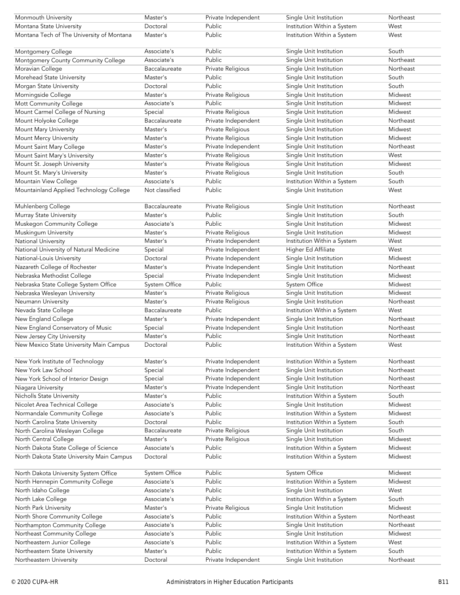| Monmouth University                       | Master's       | Private Independent | Single Unit Institution     | Northeast |
|-------------------------------------------|----------------|---------------------|-----------------------------|-----------|
| Montana State University                  | Doctoral       | Public              | Institution Within a System | West      |
| Montana Tech of The University of Montana | Master's       | Public              | Institution Within a System | West      |
|                                           |                |                     |                             |           |
| Montgomery College                        | Associate's    | Public              | Single Unit Institution     | South     |
| Montgomery County Community College       | Associate's    | Public              | Single Unit Institution     | Northeast |
| Moravian College                          | Baccalaureate  | Private Religious   | Single Unit Institution     | Northeast |
| Morehead State University                 | Master's       | Public              | Single Unit Institution     | South     |
| Morgan State University                   | Doctoral       | Public              | Single Unit Institution     | South     |
| Morningside College                       | Master's       | Private Religious   | Single Unit Institution     | Midwest   |
| Mott Community College                    | Associate's    | Public              | Single Unit Institution     | Midwest   |
| Mount Carmel College of Nursing           | Special        | Private Religious   | Single Unit Institution     | Midwest   |
| Mount Holyoke College                     | Baccalaureate  | Private Independent | Single Unit Institution     | Northeast |
| Mount Mary University                     | Master's       | Private Religious   | Single Unit Institution     | Midwest   |
| Mount Mercy University                    | Master's       | Private Religious   | Single Unit Institution     | Midwest   |
| Mount Saint Mary College                  | Master's       | Private Independent | Single Unit Institution     | Northeast |
| Mount Saint Mary's University             | Master's       | Private Religious   | Single Unit Institution     | West      |
| Mount St. Joseph University               | Master's       | Private Religious   | Single Unit Institution     | Midwest   |
| Mount St. Mary's University               | Master's       | Private Religious   | Single Unit Institution     | South     |
| Mountain View College                     | Associate's    | Public              |                             | South     |
|                                           |                |                     | Institution Within a System |           |
| Mountainland Applied Technology College   | Not classified | Public              | Single Unit Institution     | West      |
| Muhlenberg College                        | Baccalaureate  | Private Religious   | Single Unit Institution     | Northeast |
|                                           | Master's       | Public              |                             | South     |
| Murray State University                   |                | Public              | Single Unit Institution     |           |
| Muskegon Community College                | Associate's    |                     | Single Unit Institution     | Midwest   |
| Muskingum University                      | Master's       | Private Religious   | Single Unit Institution     | Midwest   |
| National University                       | Master's       | Private Independent | Institution Within a System | West      |
| National University of Natural Medicine   | Special        | Private Independent | Higher Ed Affiliate         | West      |
| National-Louis University                 | Doctoral       | Private Independent | Single Unit Institution     | Midwest   |
| Nazareth College of Rochester             | Master's       | Private Independent | Single Unit Institution     | Northeast |
| Nebraska Methodist College                | Special        | Private Independent | Single Unit Institution     | Midwest   |
| Nebraska State College System Office      | System Office  | Public              | System Office               | Midwest   |
| Nebraska Wesleyan University              | Master's       | Private Religious   | Single Unit Institution     | Midwest   |
| Neumann University                        | Master's       | Private Religious   | Single Unit Institution     | Northeast |
| Nevada State College                      | Baccalaureate  | Public              | Institution Within a System | West      |
| New England College                       | Master's       | Private Independent | Single Unit Institution     | Northeast |
| New England Conservatory of Music         | Special        | Private Independent | Single Unit Institution     | Northeast |
| New Jersey City University                | Master's       | Public              | Single Unit Institution     | Northeast |
| New Mexico State University Main Campus   | Doctoral       | Public              | Institution Within a System | West      |
| New York Institute of Technology          | Master's       | Private Independent | Institution Within a System | Northeast |
| New York Law School                       | Special        | Private Independent | Single Unit Institution     | Northeast |
| New York School of Interior Design        | Special        | Private Independent | Single Unit Institution     | Northeast |
|                                           | Master's       |                     |                             | Northeast |
| Niagara University                        |                | Private Independent | Single Unit Institution     |           |
| Nicholls State University                 | Master's       | Public              | Institution Within a System | South     |
| Nicolet Area Technical College            | Associate's    | Public              | Single Unit Institution     | Midwest   |
| Normandale Community College              | Associate's    | Public              | Institution Within a System | Midwest   |
| North Carolina State University           | Doctoral       | Public              | Institution Within a System | South     |
| North Carolina Wesleyan College           | Baccalaureate  | Private Religious   | Single Unit Institution     | South     |
| North Central College                     | Master's       | Private Religious   | Single Unit Institution     | Midwest   |
| North Dakota State College of Science     | Associate's    | Public              | Institution Within a System | Midwest   |
| North Dakota State University Main Campus | Doctoral       | Public              | Institution Within a System | Midwest   |
| North Dakota University System Office     | System Office  | Public              | System Office               | Midwest   |
| North Hennepin Community College          | Associate's    | Public              | Institution Within a System | Midwest   |
| North Idaho College                       | Associate's    | Public              | Single Unit Institution     | West      |
| North Lake College                        | Associate's    | Public              | Institution Within a System | South     |
| North Park University                     | Master's       | Private Religious   | Single Unit Institution     | Midwest   |
| North Shore Community College             | Associate's    | Public              | Institution Within a System | Northeast |
| Northampton Community College             | Associate's    | Public              | Single Unit Institution     | Northeast |
| Northeast Community College               | Associate's    | Public              | Single Unit Institution     | Midwest   |
| Northeastern Junior College               | Associate's    | Public              | Institution Within a System | West      |
| Northeastern State University             | Master's       | Public              | Institution Within a System | South     |
| Northeastern University                   | Doctoral       | Private Independent | Single Unit Institution     | Northeast |
|                                           |                |                     |                             |           |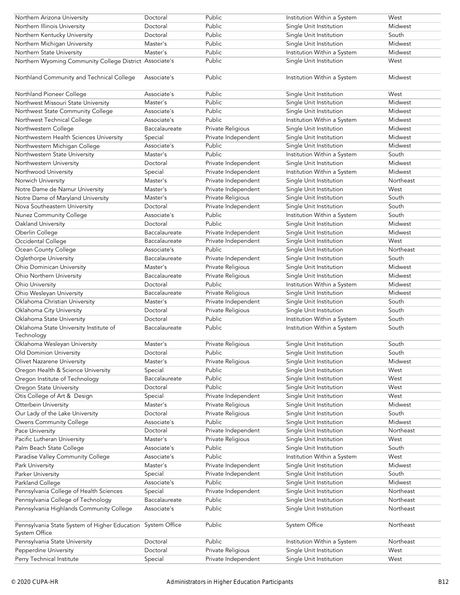| Northern Arizona University                                                  | Doctoral      | Public              | Institution Within a System | West      |
|------------------------------------------------------------------------------|---------------|---------------------|-----------------------------|-----------|
| Northern Illinois University                                                 | Doctoral      | Public              | Single Unit Institution     | Midwest   |
| Northern Kentucky University                                                 | Doctoral      | Public              | Single Unit Institution     | South     |
| Northern Michigan University                                                 | Master's      | Public              | Single Unit Institution     | Midwest   |
| Northern State University                                                    | Master's      | Public              | Institution Within a System | Midwest   |
| Northern Wyoming Community College District Associate's                      |               | Public              | Single Unit Institution     | West      |
|                                                                              |               |                     |                             |           |
| Northland Community and Technical College                                    | Associate's   | Public              | Institution Within a System | Midwest   |
| Northland Pioneer College                                                    | Associate's   | Public              | Single Unit Institution     | West      |
| Northwest Missouri State University                                          | Master's      | Public              | Single Unit Institution     | Midwest   |
| Northwest State Community College                                            | Associate's   | Public              | Single Unit Institution     | Midwest   |
| Northwest Technical College                                                  | Associate's   | Public              | Institution Within a System | Midwest   |
| Northwestern College                                                         | Baccalaureate | Private Religious   | Single Unit Institution     | Midwest   |
| Northwestern Health Sciences University                                      | Special       | Private Independent | Single Unit Institution     | Midwest   |
| Northwestern Michigan College                                                | Associate's   | Public              | Single Unit Institution     | Midwest   |
| Northwestern State University                                                | Master's      | Public              | Institution Within a System | South     |
| Northwestern University                                                      | Doctoral      | Private Independent | Single Unit Institution     | Midwest   |
| Northwood University                                                         | Special       | Private Independent | Institution Within a System | Midwest   |
| Norwich University                                                           | Master's      | Private Independent | Single Unit Institution     | Northeast |
| Notre Dame de Namur University                                               | Master's      | Private Independent | Single Unit Institution     | West      |
| Notre Dame of Maryland University                                            | Master's      | Private Religious   | Single Unit Institution     | South     |
| Nova Southeastern University                                                 | Doctoral      | Private Independent | Single Unit Institution     | South     |
| Nunez Community College                                                      | Associate's   | Public              | Institution Within a System | South     |
| Oakland University                                                           | Doctoral      | <b>Public</b>       | Single Unit Institution     | Midwest   |
| Oberlin College                                                              | Baccalaureate | Private Independent | Single Unit Institution     | Midwest   |
| Occidental College                                                           | Baccalaureate | Private Independent | Single Unit Institution     | West      |
| Ocean County College                                                         | Associate's   | Public              | Single Unit Institution     | Northeast |
| Oglethorpe University                                                        | Baccalaureate | Private Independent | Single Unit Institution     | South     |
| Ohio Dominican University                                                    | Master's      | Private Religious   | Single Unit Institution     | Midwest   |
| Ohio Northern University                                                     | Baccalaureate | Private Religious   | Single Unit Institution     | Midwest   |
| Ohio University                                                              | Doctoral      | Public              | Institution Within a System | Midwest   |
| Ohio Wesleyan University                                                     | Baccalaureate | Private Religious   | Single Unit Institution     | Midwest   |
| Oklahoma Christian University                                                | Master's      | Private Independent | Single Unit Institution     | South     |
| Oklahoma City University                                                     | Doctoral      | Private Religious   | Single Unit Institution     | South     |
| Oklahoma State University                                                    | Doctoral      | Public              | Institution Within a System | South     |
| Oklahoma State University Institute of                                       | Baccalaureate | Public              | Institution Within a System | South     |
| Technology                                                                   |               |                     |                             |           |
| Oklahoma Wesleyan University                                                 | Master's      | Private Religious   | Single Unit Institution     | South     |
| Old Dominion University                                                      | Doctoral      | Public              | Single Unit Institution     | South     |
| Olivet Nazarene University                                                   | Master's      | Private Religious   | Single Unit Institution     | Midwest   |
| Oregon Health & Science University                                           | Special       | Public              | Single Unit Institution     | West      |
| Oregon Institute of Technology                                               | Baccalaureate | Public              | Single Unit Institution     | West      |
| Oregon State University                                                      | Doctoral      | Public              | Single Unit Institution     | West      |
| Otis College of Art & Design                                                 | Special       | Private Independent | Single Unit Institution     | West      |
| Otterbein University                                                         | Master's      | Private Religious   | Single Unit Institution     | Midwest   |
| Our Lady of the Lake University                                              | Doctoral      | Private Religious   | Single Unit Institution     | South     |
| Owens Community College                                                      | Associate's   | Public              | Single Unit Institution     | Midwest   |
| Pace University                                                              | Doctoral      | Private Independent | Single Unit Institution     | Northeast |
| Pacific Lutheran University                                                  | Master's      | Private Religious   | Single Unit Institution     | West      |
| Palm Beach State College                                                     | Associate's   | Public              | Single Unit Institution     | South     |
| Paradise Valley Community College                                            | Associate's   | Public              | Institution Within a System | West      |
| Park University                                                              | Master's      | Private Independent | Single Unit Institution     | Midwest   |
| Parker University                                                            | Special       | Private Independent | Single Unit Institution     | South     |
| Parkland College                                                             | Associate's   | Public              | Single Unit Institution     | Midwest   |
| Pennsylvania College of Health Sciences                                      | Special       | Private Independent | Single Unit Institution     | Northeast |
| Pennsylvania College of Technology                                           | Baccalaureate | Public              | Single Unit Institution     | Northeast |
| Pennsylvania Highlands Community College                                     | Associate's   | Public              | Single Unit Institution     | Northeast |
| Pennsylvania State System of Higher Education System Office<br>System Office |               | Public              | System Office               | Northeast |
| Pennsylvania State University                                                | Doctoral      | Public              | Institution Within a System | Northeast |
| Pepperdine University                                                        | Doctoral      | Private Religious   | Single Unit Institution     | West      |
| Perry Technical Institute                                                    | Special       | Private Independent | Single Unit Institution     | West      |
|                                                                              |               |                     |                             |           |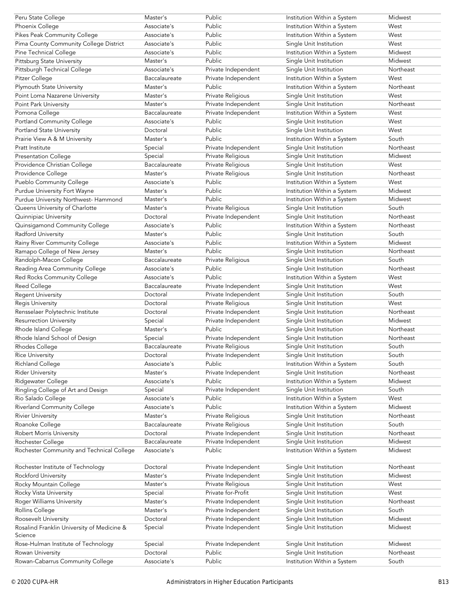| Peru State College                             | Master's      | Public              | Institution Within a System | Midwest   |
|------------------------------------------------|---------------|---------------------|-----------------------------|-----------|
| Phoenix College                                | Associate's   | Public              | Institution Within a System | West      |
| Pikes Peak Community College                   | Associate's   | Public              | Institution Within a System | West      |
| Pima County Community College District         | Associate's   | Public              | Single Unit Institution     | West      |
| Pine Technical College                         | Associate's   | Public              | Institution Within a System | Midwest   |
| <b>Pittsburg State University</b>              | Master's      | Public              | Single Unit Institution     | Midwest   |
| Pittsburgh Technical College                   | Associate's   | Private Independent | Single Unit Institution     | Northeast |
| Pitzer College                                 | Baccalaureate | Private Independent | Institution Within a System | West      |
| Plymouth State University                      | Master's      | Public              | Institution Within a System | Northeast |
| Point Loma Nazarene University                 | Master's      | Private Religious   | Single Unit Institution     | West      |
| Point Park University                          | Master's      | Private Independent | Single Unit Institution     | Northeast |
| Pomona College                                 | Baccalaureate | Private Independent | Institution Within a System | West      |
| Portland Community College                     | Associate's   | Public              | Single Unit Institution     | West      |
| Portland State University                      | Doctoral      | Public              | Single Unit Institution     | West      |
| Prairie View A & M University                  | Master's      | Public              | Institution Within a System | South     |
| <b>Pratt Institute</b>                         | Special       | Private Independent | Single Unit Institution     | Northeast |
| <b>Presentation College</b>                    | Special       | Private Religious   | Single Unit Institution     | Midwest   |
| Providence Christian College                   | Baccalaureate | Private Religious   | Single Unit Institution     | West      |
| Providence College                             | Master's      | Private Religious   | Single Unit Institution     | Northeast |
| Pueblo Community College                       | Associate's   | Public              | Institution Within a System | West      |
| Purdue University Fort Wayne                   | Master's      | Public              | Institution Within a System | Midwest   |
|                                                |               |                     |                             |           |
| Purdue University Northwest-Hammond            | Master's      | Public              | Institution Within a System | Midwest   |
| Queens University of Charlotte                 | Master's      | Private Religious   | Single Unit Institution     | South     |
| Quinnipiac University                          | Doctoral      | Private Independent | Single Unit Institution     | Northeast |
| Quinsigamond Community College                 | Associate's   | Public              | Institution Within a System | Northeast |
| Radford University                             | Master's      | Public              | Single Unit Institution     | South     |
| Rainy River Community College                  | Associate's   | Public              | Institution Within a System | Midwest   |
| Ramapo College of New Jersey                   | Master's      | Public              | Single Unit Institution     | Northeast |
| Randolph-Macon College                         | Baccalaureate | Private Religious   | Single Unit Institution     | South     |
| Reading Area Community College                 | Associate's   | Public              | Single Unit Institution     | Northeast |
| Red Rocks Community College                    | Associate's   | Public              | Institution Within a System | West      |
| Reed College                                   | Baccalaureate | Private Independent | Single Unit Institution     | West      |
| <b>Regent University</b>                       | Doctoral      | Private Independent | Single Unit Institution     | South     |
| <b>Regis University</b>                        | Doctoral      | Private Religious   | Single Unit Institution     | West      |
| Rensselaer Polytechnic Institute               | Doctoral      | Private Independent | Single Unit Institution     | Northeast |
| <b>Resurrection University</b>                 | Special       | Private Independent | Single Unit Institution     | Midwest   |
| Rhode Island College                           | Master's      | Public              | Single Unit Institution     | Northeast |
| Rhode Island School of Design                  | Special       | Private Independent | Single Unit Institution     | Northeast |
| Rhodes College                                 | Baccalaureate | Private Religious   | Single Unit Institution     | South     |
| <b>Rice University</b>                         | Doctoral      | Private Independent | Single Unit Institution     | South     |
| Richland College                               | Associate's   | Public              | Institution Within a System | South     |
| <b>Rider University</b>                        | Master's      | Private Independent | Single Unit Institution     | Northeast |
| Ridgewater College                             | Associate's   | Public              | Institution Within a System | Midwest   |
| Ringling College of Art and Design             | Special       | Private Independent | Single Unit Institution     | South     |
| Rio Salado College                             | Associate's   | Public              | Institution Within a System | West      |
| <b>Riverland Community College</b>             | Associate's   | Public              | Institution Within a System | Midwest   |
| <b>Rivier University</b>                       | Master's      | Private Religious   | Single Unit Institution     | Northeast |
| Roanoke College                                | Baccalaureate | Private Religious   | Single Unit Institution     | South     |
| Robert Morris University                       | Doctoral      | Private Independent | Single Unit Institution     | Northeast |
| Rochester College                              | Baccalaureate | Private Independent | Single Unit Institution     | Midwest   |
| Rochester Community and Technical College      | Associate's   | Public              | Institution Within a System | Midwest   |
|                                                |               |                     |                             |           |
| Rochester Institute of Technology              | Doctoral      | Private Independent | Single Unit Institution     | Northeast |
| <b>Rockford University</b>                     | Master's      | Private Independent | Single Unit Institution     | Midwest   |
| Rocky Mountain College                         | Master's      | Private Religious   | Single Unit Institution     | West      |
| Rocky Vista University                         | Special       | Private for-Profit  | Single Unit Institution     | West      |
| Roger Williams University                      | Master's      | Private Independent | Single Unit Institution     | Northeast |
| Rollins College                                | Master's      | Private Independent | Single Unit Institution     | South     |
| Roosevelt University                           | Doctoral      | Private Independent | Single Unit Institution     | Midwest   |
| Rosalind Franklin University of Medicine &     | Special       | Private Independent | Single Unit Institution     | Midwest   |
| Science<br>Rose-Hulman Institute of Technology | Special       | Private Independent | Single Unit Institution     | Midwest   |
| Rowan University                               | Doctoral      | Public              | Single Unit Institution     | Northeast |
| Rowan-Cabarrus Community College               | Associate's   | Public              | Institution Within a System | South     |
|                                                |               |                     |                             |           |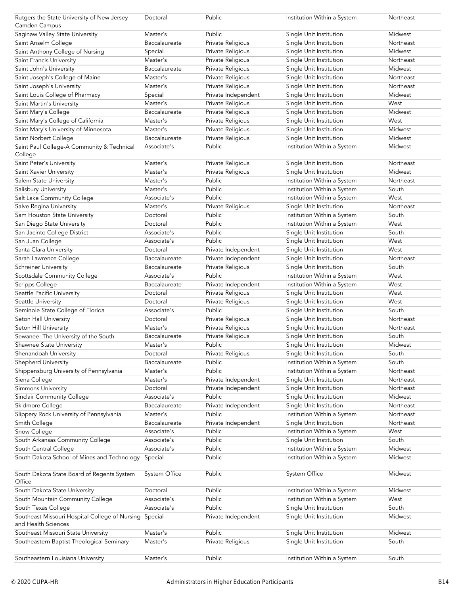| Rutgers the State University of New Jersey<br>Camden Campus           | Doctoral      | Public                        | Institution Within a System | Northeast |
|-----------------------------------------------------------------------|---------------|-------------------------------|-----------------------------|-----------|
| Saginaw Valley State University                                       | Master's      | Public                        | Single Unit Institution     | Midwest   |
| Saint Anselm College                                                  | Baccalaureate | Private Religious             | Single Unit Institution     | Northeast |
| Saint Anthony College of Nursing                                      | Special       | Private Religious             | Single Unit Institution     | Midwest   |
| Saint Francis University                                              | Master's      | Private Religious             | Single Unit Institution     | Northeast |
| Saint John's University                                               | Baccalaureate | Private Religious             | Single Unit Institution     | Midwest   |
| Saint Joseph's College of Maine                                       | Master's      | Private Religious             | Single Unit Institution     | Northeast |
|                                                                       | Master's      |                               |                             | Northeast |
| Saint Joseph's University                                             |               | Private Religious             | Single Unit Institution     |           |
| Saint Louis College of Pharmacy                                       | Special       | Private Independent           | Single Unit Institution     | Midwest   |
| Saint Martin's University                                             | Master's      | Private Religious             | Single Unit Institution     | West      |
| Saint Mary's College                                                  | Baccalaureate | Private Religious             | Single Unit Institution     | Midwest   |
| Saint Mary's College of California                                    | Master's      | Private Religious             | Single Unit Institution     | West      |
| Saint Mary's University of Minnesota                                  | Master's      | Private Religious             | Single Unit Institution     | Midwest   |
| Saint Norbert College                                                 | Baccalaureate | Private Religious             | Single Unit Institution     | Midwest   |
| Saint Paul College-A Community & Technical                            | Associate's   | Public                        | Institution Within a System | Midwest   |
| College                                                               |               |                               |                             |           |
| Saint Peter's University                                              | Master's      | Private Religious             | Single Unit Institution     | Northeast |
| Saint Xavier University                                               | Master's      | Private Religious             | Single Unit Institution     | Midwest   |
| Salem State University                                                | Master's      | Public                        | Institution Within a System | Northeast |
| Salisbury University                                                  | Master's      | Public                        | Institution Within a System | South     |
| Salt Lake Community College                                           | Associate's   | Public                        | Institution Within a System | West      |
| Salve Regina University                                               | Master's      | Private Religious             | Single Unit Institution     | Northeast |
| Sam Houston State University                                          | Doctoral      | Public                        | Institution Within a System | South     |
| San Diego State University                                            | Doctoral      | Public                        | Institution Within a System | West      |
| San Jacinto College District                                          | Associate's   | Public                        | Single Unit Institution     | South     |
| San Juan College                                                      | Associate's   | Public                        | Single Unit Institution     | West      |
| Santa Clara University                                                | Doctoral      | Private Independent           | Single Unit Institution     | West      |
| Sarah Lawrence College                                                | Baccalaureate | Private Independent           | Single Unit Institution     | Northeast |
| Schreiner University                                                  | Baccalaureate | Private Religious             | Single Unit Institution     | South     |
| Scottsdale Community College                                          | Associate's   | Public                        | Institution Within a System | West      |
| <b>Scripps College</b>                                                | Baccalaureate | Private Independent           | Institution Within a System | West      |
| Seattle Pacific University                                            | Doctoral      | Private Religious             | Single Unit Institution     | West      |
| Seattle University                                                    | Doctoral      | Private Religious             | Single Unit Institution     | West      |
| Seminole State College of Florida                                     | Associate's   | Public                        | Single Unit Institution     | South     |
| Seton Hall University                                                 | Doctoral      | Private Religious             | Single Unit Institution     | Northeast |
| Seton Hill University                                                 | Master's      | Private Religious             | Single Unit Institution     | Northeast |
| Sewanee: The University of the South                                  | Baccalaureate | Private Religious             | Single Unit Institution     | South     |
| Shawnee State University                                              | Master's      | Public                        | Single Unit Institution     | Midwest   |
| Shenandoah University                                                 | Doctoral      | Private Religious             | Single Unit Institution     | South     |
| Shepherd University                                                   | Baccalaureate | Public                        | Institution Within a System | South     |
| Shippensburg University of Pennsylvania                               | Master's      | Public                        | Institution Within a System | Northeast |
| Siena College                                                         | Master's      | Private Independent           | Single Unit Institution     | Northeast |
| Simmons University                                                    | Doctoral      | Private Independent           | Single Unit Institution     | Northeast |
| Sinclair Community College                                            | Associate's   | Public                        |                             | Midwest   |
|                                                                       | Baccalaureate |                               | Single Unit Institution     | Northeast |
| Skidmore College                                                      |               | Private Independent<br>Public | Single Unit Institution     |           |
| Slippery Rock University of Pennsylvania                              | Master's      |                               | Institution Within a System | Northeast |
| Smith College                                                         | Baccalaureate | Private Independent           | Single Unit Institution     | Northeast |
| Snow College                                                          | Associate's   | Public                        | Institution Within a System | West      |
| South Arkansas Community College                                      | Associate's   | Public                        | Single Unit Institution     | South     |
| South Central College                                                 | Associate's   | Public                        | Institution Within a System | Midwest   |
| South Dakota School of Mines and Technology                           | Special       | Public                        | Institution Within a System | Midwest   |
| South Dakota State Board of Regents System<br>Office                  | System Office | Public                        | System Office               | Midwest   |
| South Dakota State University                                         | Doctoral      | Public                        | Institution Within a System | Midwest   |
| South Mountain Community College                                      | Associate's   | Public                        | Institution Within a System | West      |
| South Texas College                                                   | Associate's   | Public                        | Single Unit Institution     | South     |
| Southeast Missouri Hospital College of Nursing<br>and Health Sciences | Special       | Private Independent           | Single Unit Institution     | Midwest   |
| Southeast Missouri State University                                   | Master's      | Public                        | Single Unit Institution     | Midwest   |
| Southeastern Baptist Theological Seminary                             | Master's      | Private Religious             | Single Unit Institution     | South     |
| Southeastern Louisiana University                                     | Master's      | Public                        | Institution Within a System | South     |
|                                                                       |               |                               |                             |           |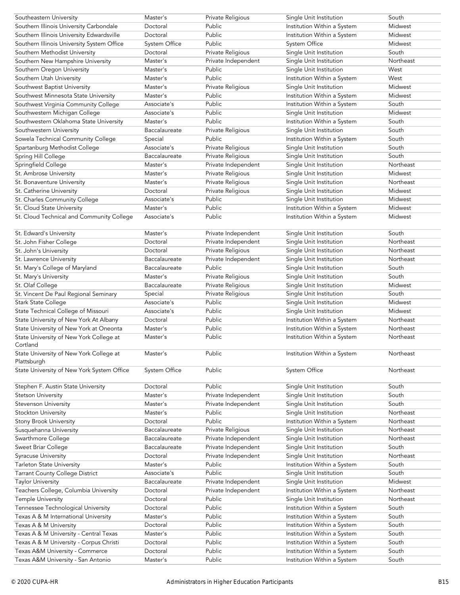| Southeastern University                                   | Master's      | Private Religious   | Single Unit Institution     | South            |
|-----------------------------------------------------------|---------------|---------------------|-----------------------------|------------------|
| Southern Illinois University Carbondale                   | Doctoral      | Public              | Institution Within a System | Midwest          |
| Southern Illinois University Edwardsville                 | Doctoral      | Public              | Institution Within a System | Midwest          |
| Southern Illinois University System Office                | System Office | Public              | System Office               | Midwest          |
| Southern Methodist University                             | Doctoral      | Private Religious   | Single Unit Institution     | South            |
| Southern New Hampshire University                         | Master's      | Private Independent | Single Unit Institution     | Northeast        |
| Southern Oregon University                                | Master's      | Public              | Single Unit Institution     | West             |
| Southern Utah University                                  | Master's      | Public              | Institution Within a System | West             |
| Southwest Baptist University                              | Master's      | Private Religious   | Single Unit Institution     | Midwest          |
| Southwest Minnesota State University                      | Master's      | Public              | Institution Within a System | Midwest          |
| Southwest Virginia Community College                      | Associate's   | Public              | Institution Within a System | South            |
| Southwestern Michigan College                             | Associate's   | Public              | Single Unit Institution     | Midwest          |
| Southwestern Oklahoma State University                    | Master's      | Public              | Institution Within a System | South            |
| Southwestern University                                   | Baccalaureate | Private Religious   | Single Unit Institution     | South            |
| Sowela Technical Community College                        | Special       | Public              | Institution Within a System | South            |
|                                                           |               |                     |                             |                  |
| Spartanburg Methodist College                             | Associate's   | Private Religious   | Single Unit Institution     | South            |
| Spring Hill College                                       | Baccalaureate | Private Religious   | Single Unit Institution     | South            |
| Springfield College                                       | Master's      | Private Independent | Single Unit Institution     | Northeast        |
| St. Ambrose University                                    | Master's      | Private Religious   | Single Unit Institution     | Midwest          |
| St. Bonaventure University                                | Master's      | Private Religious   | Single Unit Institution     | Northeast        |
| St. Catherine University                                  | Doctoral      | Private Religious   | Single Unit Institution     | Midwest          |
| St. Charles Community College                             | Associate's   | Public              | Single Unit Institution     | Midwest          |
| St. Cloud State University                                | Master's      | Public              | Institution Within a System | Midwest          |
| St. Cloud Technical and Community College                 | Associate's   | Public              | Institution Within a System | Midwest          |
| St. Edward's University                                   | Master's      | Private Independent | Single Unit Institution     | South            |
| St. John Fisher College                                   | Doctoral      | Private Independent | Single Unit Institution     | Northeast        |
| St. John's University                                     | Doctoral      | Private Religious   | Single Unit Institution     | Northeast        |
| St. Lawrence University                                   | Baccalaureate | Private Independent | Single Unit Institution     | Northeast        |
|                                                           | Baccalaureate | Public              |                             | South            |
| St. Mary's College of Maryland                            | Master's      |                     | Single Unit Institution     | South            |
| St. Mary's University                                     | Baccalaureate | Private Religious   | Single Unit Institution     |                  |
| St. Olaf College                                          |               | Private Religious   | Single Unit Institution     | Midwest<br>South |
| St. Vincent De Paul Regional Seminary                     | Special       | Private Religious   | Single Unit Institution     |                  |
| Stark State College                                       | Associate's   | Public              | Single Unit Institution     | Midwest          |
| State Technical College of Missouri                       | Associate's   | Public              | Single Unit Institution     | Midwest          |
| State University of New York At Albany                    | Doctoral      | Public              | Institution Within a System | Northeast        |
| State University of New York at Oneonta                   | Master's      | Public              | Institution Within a System | Northeast        |
| State University of New York College at<br>Cortland       | Master's      | Public              | Institution Within a System | Northeast        |
| State University of New York College at                   | Master's      | Public              | Institution Within a System | Northeast        |
| Plattsburgh<br>State University of New York System Office | System Office | Public              | System Office               | Northeast        |
|                                                           |               |                     |                             |                  |
| Stephen F. Austin State University                        | Doctoral      | Public              | Single Unit Institution     | South            |
| Stetson University                                        | Master's      | Private Independent | Single Unit Institution     | South            |
| Stevenson University                                      | Master's      | Private Independent | Single Unit Institution     | South            |
| Stockton University                                       | Master's      | Public              | Single Unit Institution     | Northeast        |
| <b>Stony Brook University</b>                             | Doctoral      | Public              | Institution Within a System | Northeast        |
| Susquehanna University                                    | Baccalaureate | Private Religious   | Single Unit Institution     | Northeast        |
| Swarthmore College                                        | Baccalaureate | Private Independent | Single Unit Institution     | Northeast        |
| Sweet Briar College                                       | Baccalaureate | Private Independent | Single Unit Institution     | South            |
| <b>Syracuse University</b>                                | Doctoral      | Private Independent | Single Unit Institution     | Northeast        |
| Tarleton State University                                 | Master's      | Public              | Institution Within a System | South            |
| <b>Tarrant County College District</b>                    | Associate's   | Public              | Single Unit Institution     | South            |
| <b>Taylor University</b>                                  | Baccalaureate | Private Independent | Single Unit Institution     | Midwest          |
| Teachers College, Columbia University                     | Doctoral      | Private Independent | Institution Within a System | Northeast        |
| Temple University                                         | Doctoral      | Public              | Single Unit Institution     | Northeast        |
| Tennessee Technological University                        | Doctoral      | Public              | Institution Within a System | South            |
| Texas A & M International University                      | Master's      | Public              | Institution Within a System | South            |
| Texas A & M University                                    | Doctoral      | Public              | Institution Within a System | South            |
| Texas A & M University - Central Texas                    | Master's      | Public              | Institution Within a System | South            |
| Texas A & M University - Corpus Christi                   | Doctoral      | Public              | Institution Within a System | South            |
| Texas A&M University - Commerce                           | Doctoral      | Public              | Institution Within a System | South            |
| Texas A&M University - San Antonio                        | Master's      | Public              | Institution Within a System | South            |
|                                                           |               |                     |                             |                  |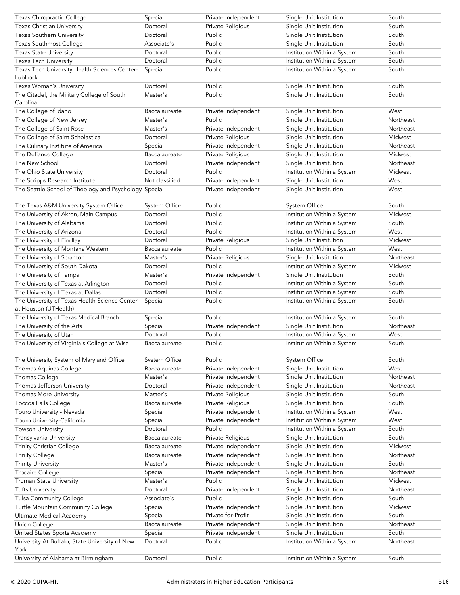| Texas Chiropractic College                             | Special              | Private Independent | Single Unit Institution     | South     |
|--------------------------------------------------------|----------------------|---------------------|-----------------------------|-----------|
| Texas Christian University                             | Doctoral             | Private Religious   | Single Unit Institution     | South     |
| Texas Southern University                              | Doctoral             | Public              | Single Unit Institution     | South     |
| Texas Southmost College                                | Associate's          | Public              | Single Unit Institution     | South     |
| <b>Texas State University</b>                          | Doctoral             | Public              | Institution Within a System | South     |
| <b>Texas Tech University</b>                           | Doctoral             | Public              | Institution Within a System | South     |
| Texas Tech University Health Sciences Center-          | Special              | Public              | Institution Within a System | South     |
| Lubbock                                                |                      |                     |                             |           |
| Texas Woman's University                               | Doctoral             | Public              | Single Unit Institution     | South     |
| The Citadel, the Military College of South<br>Carolina | Master's             | Public              | Single Unit Institution     | South     |
| The College of Idaho                                   | Baccalaureate        | Private Independent | Single Unit Institution     | West      |
| The College of New Jersey                              | Master's             | Public              | Single Unit Institution     | Northeast |
| The College of Saint Rose                              | Master's             | Private Independent | Single Unit Institution     | Northeast |
| The College of Saint Scholastica                       | Doctoral             | Private Religious   | Single Unit Institution     | Midwest   |
| The Culinary Institute of America                      | Special              | Private Independent | Single Unit Institution     | Northeast |
| The Defiance College                                   | Baccalaureate        | Private Religious   | Single Unit Institution     | Midwest   |
| The New School                                         | Doctoral             |                     |                             | Northeast |
|                                                        |                      | Private Independent | Single Unit Institution     | Midwest   |
| The Ohio State University                              | Doctoral             | Public              | Institution Within a System |           |
| The Scripps Research Institute                         | Not classified       | Private Independent | Single Unit Institution     | West      |
| The Seattle School of Theology and Psychology Special  |                      | Private Independent | Single Unit Institution     | West      |
| The Texas A&M University System Office                 | System Office        | Public              | System Office               | South     |
| The University of Akron, Main Campus                   | Doctoral             | Public              | Institution Within a System | Midwest   |
| The University of Alabama                              | Doctoral             | Public              | Institution Within a System | South     |
| The University of Arizona                              | Doctoral             | Public              | Institution Within a System | West      |
| The University of Findlay                              | Doctoral             | Private Religious   | Single Unit Institution     | Midwest   |
| The University of Montana Western                      | Baccalaureate        | Public              | Institution Within a System | West      |
| The University of Scranton                             | Master's             | Private Religious   | Single Unit Institution     | Northeast |
| The University of South Dakota                         | Doctoral             | Public              | Institution Within a System | Midwest   |
| The University of Tampa                                | Master's             | Private Independent | Single Unit Institution     | South     |
| The University of Texas at Arlington                   | Doctoral             | Public              | Institution Within a System | South     |
| The University of Texas at Dallas                      | Doctoral             | Public              | Institution Within a System | South     |
| The University of Texas Health Science Center          | Special              | Public              | Institution Within a System | South     |
| at Houston (UTHealth)                                  |                      |                     |                             |           |
| The University of Texas Medical Branch                 | Special              | Public              | Institution Within a System | South     |
| The University of the Arts                             | Special              | Private Independent | Single Unit Institution     | Northeast |
| The University of Utah                                 | Doctoral             | Public              | Institution Within a System | West      |
| The University of Virginia's College at Wise           | Baccalaureate        | Public              | Institution Within a System | South     |
| The University System of Maryland Office               | <b>System Office</b> | Public              | System Office               | South     |
| Thomas Aquinas College                                 | Baccalaureate        | Private Independent | Single Unit Institution     | West      |
| Thomas College                                         | Master's             | Private Independent | Single Unit Institution     | Northeast |
| Thomas Jefferson University                            | Doctoral             | Private Independent | Single Unit Institution     | Northeast |
| Thomas More University                                 | Master's             | Private Religious   | Single Unit Institution     | South     |
| Toccoa Falls College                                   | Baccalaureate        | Private Religious   | Single Unit Institution     | South     |
| Touro University - Nevada                              | Special              | Private Independent | Institution Within a System | West      |
| Touro University-California                            | Special              | Private Independent | Institution Within a System | West      |
| <b>Towson University</b>                               | Doctoral             | Public              | Institution Within a System | South     |
| Transylvania University                                | Baccalaureate        | Private Religious   | Single Unit Institution     | South     |
| Trinity Christian College                              | Baccalaureate        | Private Independent | Single Unit Institution     | Midwest   |
| <b>Trinity College</b>                                 | Baccalaureate        | Private Independent | Single Unit Institution     | Northeast |
| <b>Trinity University</b>                              | Master's             | Private Independent | Single Unit Institution     | South     |
| Trocaire College                                       | Special              | Private Independent | Single Unit Institution     | Northeast |
| Truman State University                                | Master's             | Public              | Single Unit Institution     | Midwest   |
|                                                        |                      |                     |                             |           |
| <b>Tufts University</b>                                | Doctoral             | Private Independent | Single Unit Institution     | Northeast |
| Tulsa Community College                                | Associate's          | Public              | Single Unit Institution     | South     |
| Turtle Mountain Community College                      | Special              | Private Independent | Single Unit Institution     | Midwest   |
| Ultimate Medical Academy                               | Special              | Private for-Profit  | Single Unit Institution     | South     |
| Union College                                          | Baccalaureate        | Private Independent | Single Unit Institution     | Northeast |
| United States Sports Academy                           | Special              | Private Independent | Single Unit Institution     | South     |
| University At Buffalo, State University of New<br>York | Doctoral             | Public              | Institution Within a System | Northeast |
| University of Alabama at Birmingham                    | Doctoral             | Public              | Institution Within a System | South     |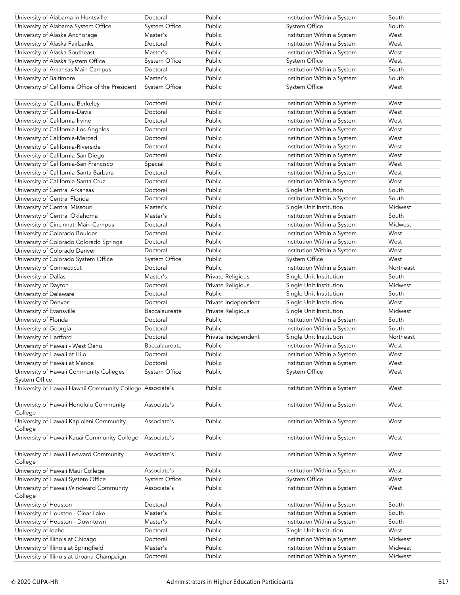| University of Alabama in Huntsville                                                 | Doctoral                  | Public                                 | Institution Within a System                                | South              |
|-------------------------------------------------------------------------------------|---------------------------|----------------------------------------|------------------------------------------------------------|--------------------|
| University of Alabama System Office                                                 | System Office             | Public                                 | System Office                                              | South              |
| University of Alaska Anchorage                                                      | Master's                  | Public                                 | Institution Within a System                                | West               |
| University of Alaska Fairbanks                                                      | Doctoral                  | Public                                 | Institution Within a System                                | West               |
| University of Alaska Southeast                                                      | Master's                  | Public                                 | Institution Within a System                                | West               |
| University of Alaska System Office                                                  | System Office             | Public                                 | System Office                                              | West               |
| University of Arkansas Main Campus                                                  | Doctoral                  | Public                                 | Institution Within a System                                | South              |
| University of Baltimore                                                             | Master's                  | Public                                 | Institution Within a System                                | South              |
| University of California Office of the President                                    | System Office             | Public                                 | System Office                                              | West               |
| University of California-Berkeley                                                   | Doctoral                  | Public                                 | Institution Within a System                                | West               |
| University of California-Davis                                                      | Doctoral                  | Public                                 | Institution Within a System                                | West               |
| University of California-Irvine                                                     | Doctoral                  | Public                                 | Institution Within a System                                | West               |
| University of California-Los Angeles                                                | Doctoral                  | Public                                 | Institution Within a System                                | West               |
| University of California-Merced                                                     | Doctoral                  | Public                                 | Institution Within a System                                | West               |
| University of California-Riverside                                                  | Doctoral                  | Public                                 | Institution Within a System                                | West               |
| University of California-San Diego                                                  | Doctoral                  | Public                                 | Institution Within a System                                | West               |
| University of California-San Francisco                                              | Special                   | Public                                 | Institution Within a System                                | West               |
| University of California-Santa Barbara                                              | Doctoral                  | Public                                 | Institution Within a System                                | West               |
| University of California-Santa Cruz                                                 | Doctoral                  | Public                                 | Institution Within a System                                | West               |
| University of Central Arkansas                                                      | Doctoral                  | Public                                 | Single Unit Institution                                    | South              |
| University of Central Florida                                                       | Doctoral                  | Public                                 | Institution Within a System                                | South              |
| University of Central Missouri                                                      | Master's                  | Public                                 | Single Unit Institution                                    | Midwest            |
| University of Central Oklahoma                                                      | Master's                  | Public                                 | Institution Within a System                                | South              |
| University of Cincinnati Main Campus                                                | Doctoral                  | Public                                 | Institution Within a System                                | Midwest            |
| University of Colorado Boulder                                                      | Doctoral                  | Public                                 | Institution Within a System                                | West               |
| University of Colorado Colorado Springs                                             | Doctoral                  | Public                                 | Institution Within a System                                | West               |
| University of Colorado Denver                                                       | Doctoral                  | Public                                 | Institution Within a System                                | West               |
| University of Colorado System Office                                                | System Office             | Public                                 | <b>System Office</b>                                       | West               |
| University of Connecticut                                                           | Doctoral                  | Public                                 | Institution Within a System                                | Northeast          |
| University of Dallas                                                                | Master's                  |                                        |                                                            | South              |
|                                                                                     | Doctoral                  | Private Religious<br>Private Religious | Single Unit Institution                                    | Midwest            |
| University of Dayton<br>University of Delaware                                      | Doctoral                  | Public                                 | Single Unit Institution<br>Single Unit Institution         | South              |
| University of Denver                                                                | Doctoral                  | Private Independent                    | Single Unit Institution                                    | West               |
| University of Evansville                                                            | Baccalaureate             | Private Religious                      | Single Unit Institution                                    | Midwest            |
| University of Florida                                                               | Doctoral                  | Public                                 | Institution Within a System                                | South              |
| University of Georgia                                                               | Doctoral                  | Public                                 | Institution Within a System                                | South              |
| University of Hartford                                                              | Doctoral                  |                                        | Single Unit Institution                                    | Northeast          |
| University of Hawaii - West Oahu                                                    |                           | Private Independent<br>Public          |                                                            |                    |
|                                                                                     | Baccalaureate<br>Doctoral | Public                                 | Institution Within a System<br>Institution Within a System | West<br>West       |
| University of Hawaii at Hilo                                                        | Doctoral                  | Public                                 |                                                            |                    |
| University of Hawaii at Manoa                                                       |                           |                                        | Institution Within a System                                | West               |
| University of Hawaii Community Colleges<br>System Office                            | System Office             | Public                                 | System Office                                              | West               |
| University of Hawaii Hawaii Community College Associate's                           |                           | Public                                 | Institution Within a System                                | West               |
| University of Hawaii Honolulu Community<br>College                                  | Associate's               | Public                                 | Institution Within a System                                | West               |
| University of Hawaii Kapiolani Community<br>College                                 | Associate's               | Public                                 | Institution Within a System                                | West               |
| University of Hawaii Kauai Community College                                        |                           |                                        |                                                            |                    |
| University of Hawaii Leeward Community                                              | Associate's               | Public                                 | Institution Within a System                                | West               |
| College                                                                             | Associate's               | Public                                 | Institution Within a System                                | West               |
| University of Hawaii Maui College                                                   | Associate's               | Public                                 | Institution Within a System                                | West               |
| University of Hawaii System Office                                                  | System Office             | Public                                 | System Office                                              | West               |
| University of Hawaii Windward Community<br>College                                  | Associate's               | Public                                 | Institution Within a System                                | West               |
| University of Houston                                                               | Doctoral                  | Public                                 | Institution Within a System                                | South              |
| University of Houston - Clear Lake                                                  | Master's                  | Public                                 | Institution Within a System                                | South              |
| University of Houston - Downtown                                                    | Master's                  | Public                                 | Institution Within a System                                | South              |
| University of Idaho                                                                 | Doctoral                  | Public                                 | Single Unit Institution                                    | West               |
| University of Illinois at Chicago                                                   | Doctoral                  | Public                                 | Institution Within a System                                | Midwest            |
| University of Illinois at Springfield<br>University of Illinois at Urbana-Champaign | Master's<br>Doctoral      | Public<br>Public                       | Institution Within a System<br>Institution Within a System | Midwest<br>Midwest |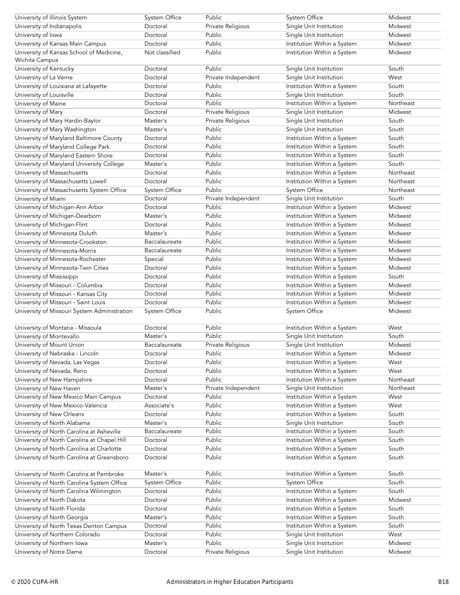| University of Illinois System                | System Office  | Public              | System Office               | Midwest   |
|----------------------------------------------|----------------|---------------------|-----------------------------|-----------|
| University of Indianapolis                   | Doctoral       | Private Religious   | Single Unit Institution     | Midwest   |
| University of Iowa                           | Doctoral       | Public              | Single Unit Institution     | Midwest   |
| University of Kansas Main Campus             | Doctoral       | Public              | Institution Within a System | Midwest   |
| University of Kansas School of Medicine,     | Not classified | Public              | Institution Within a System | Midwest   |
| Wichita Campus                               |                |                     |                             |           |
| University of Kentucky                       | Doctoral       | Public              | Single Unit Institution     | South     |
| University of La Verne                       | Doctoral       | Private Independent | Single Unit Institution     | West      |
| University of Louisiana at Lafayette         | Doctoral       | Public              | Institution Within a System | South     |
| University of Louisville                     | Doctoral       | Public              | Single Unit Institution     | South     |
| University of Maine                          | Doctoral       | Public              | Institution Within a System | Northeast |
| University of Mary                           | Doctoral       | Private Religious   | Single Unit Institution     | Midwest   |
| University of Mary Hardin-Baylor             | Master's       |                     | Single Unit Institution     | South     |
|                                              |                | Private Religious   |                             |           |
| University of Mary Washington                | Master's       | Public              | Single Unit Institution     | South     |
| University of Maryland Baltimore County      | Doctoral       | Public              | Institution Within a System | South     |
| University of Maryland College Park          | Doctoral       | Public              | Institution Within a System | South     |
| University of Maryland Eastern Shore         | Doctoral       | Public              | Institution Within a System | South     |
| University of Maryland University College    | Master's       | Public              | Institution Within a System | South     |
| University of Massachusetts                  | Doctoral       | Public              | Institution Within a System | Northeast |
| University of Massachusetts Lowell           | Doctoral       | Public              | Institution Within a System | Northeast |
| University of Massachusetts System Office    | System Office  | Public              | System Office               | Northeast |
| University of Miami                          | Doctoral       | Private Independent | Single Unit Institution     | South     |
| University of Michigan-Ann Arbor             | Doctoral       | Public              | Institution Within a System | Midwest   |
| University of Michigan-Dearborn              | Master's       | Public              | Institution Within a System | Midwest   |
| University of Michigan-Flint                 | Doctoral       | Public              | Institution Within a System | Midwest   |
| University of Minnesota Duluth               | Master's       | Public              | Institution Within a System | Midwest   |
| University of Minnesota-Crookston            | Baccalaureate  | Public              | Institution Within a System | Midwest   |
| University of Minnesota-Morris               | Baccalaureate  | Public              | Institution Within a System | Midwest   |
| University of Minnesota-Rochester            | Special        | Public              | Institution Within a System | Midwest   |
| University of Minnesota-Twin Cities          | Doctoral       | Public              | Institution Within a System | Midwest   |
|                                              | Doctoral       | Public              | Institution Within a System | South     |
| University of Mississippi                    |                |                     |                             |           |
| University of Missouri - Columbia            | Doctoral       | Public              | Institution Within a System | Midwest   |
| University of Missouri - Kansas City         | Doctoral       | Public              | Institution Within a System | Midwest   |
| University of Missouri - Saint Louis         | Doctoral       | Public              | Institution Within a System | Midwest   |
| University of Missouri System Administration | System Office  | Public              | System Office               | Midwest   |
|                                              |                |                     |                             |           |
| University of Montana - Missoula             | Doctoral       | Public              | Institution Within a System | West      |
| University of Montevallo                     | Master's       | Public              | Single Unit Institution     | South     |
| University of Mount Union                    | Baccalaureate  | Private Religious   | Single Unit Institution     | Midwest   |
| University of Nebraska - Lincoln             | Doctoral       | Public              | Institution Within a System | Midwest   |
| University of Nevada, Las Vegas              | Doctoral       | Public              | Institution Within a System | West      |
| University of Nevada, Reno                   | Doctoral       | Public              | Institution Within a System | West      |
| University of New Hampshire                  | Doctoral       | Public              | Institution Within a System | Northeast |
| University of New Haven                      | Master's       | Private Independent | Single Unit Institution     | Northeast |
| University of New Mexico Main Campus         | Doctoral       | Public              | Institution Within a System | West      |
| University of New Mexico-Valencia            | Associate's    | Public              | Institution Within a System | West      |
| University of New Orleans                    | Doctoral       | Public              | Institution Within a System | South     |
| University of North Alabama                  | Master's       | Public              | Single Unit Institution     | South     |
| University of North Carolina at Asheville    | Baccalaureate  | Public              | Institution Within a System | South     |
| University of North Carolina at Chapel Hill  | Doctoral       | Public              | Institution Within a System | South     |
| University of North Carolina at Charlotte    | Doctoral       | Public              | Institution Within a System | South     |
| University of North Carolina at Greensboro   | Doctoral       | Public              | Institution Within a System | South     |
|                                              |                |                     |                             |           |
| University of North Carolina at Pembroke     | Master's       | Public              | Institution Within a System | South     |
| University of North Carolina System Office   | System Office  | Public              | System Office               | South     |
| University of North Carolina Wilmington      | Doctoral       | Public              | Institution Within a System | South     |
| University of North Dakota                   | Doctoral       | Public              | Institution Within a System | Midwest   |
|                                              | Doctoral       | Public              |                             | South     |
| University of North Florida                  |                |                     | Institution Within a System |           |
| University of North Georgia                  | Master's       | Public              | Institution Within a System | South     |
| University of North Texas Denton Campus      | Doctoral       | Public              | Institution Within a System | South     |
| University of Northern Colorado              | Doctoral       | Public              | Single Unit Institution     | West      |
| University of Northern Iowa                  | Master's       | Public              | Single Unit Institution     | Midwest   |
| University of Notre Dame                     | Doctoral       | Private Religious   | Single Unit Institution     | Midwest   |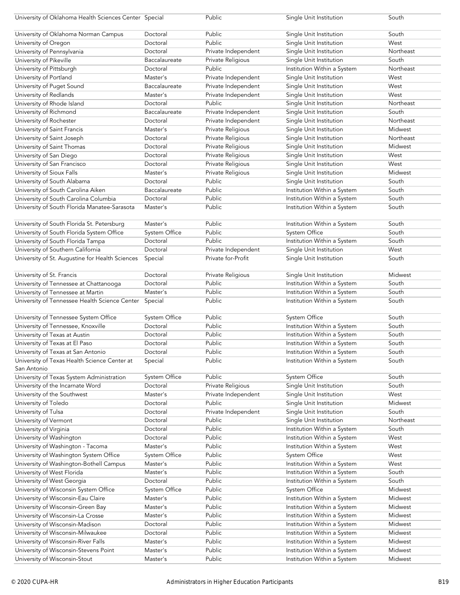| University of Oklahoma Health Sciences Center Special                        |                      | Public              | Single Unit Institution                                    | South     |
|------------------------------------------------------------------------------|----------------------|---------------------|------------------------------------------------------------|-----------|
| University of Oklahoma Norman Campus                                         | Doctoral             | Public              | Single Unit Institution                                    | South     |
| University of Oregon                                                         | Doctoral             | Public              | Single Unit Institution                                    | West      |
| University of Pennsylvania                                                   | Doctoral             | Private Independent | Single Unit Institution                                    | Northeast |
| University of Pikeville                                                      | Baccalaureate        | Private Religious   | Single Unit Institution                                    | South     |
| University of Pittsburgh                                                     | Doctoral             | Public              | Institution Within a System                                | Northeast |
|                                                                              | Master's             | Private Independent |                                                            | West      |
| University of Portland                                                       |                      |                     | Single Unit Institution                                    | West      |
| University of Puget Sound                                                    | Baccalaureate        | Private Independent | Single Unit Institution                                    |           |
| University of Redlands                                                       | Master's             | Private Independent | Single Unit Institution                                    | West      |
| University of Rhode Island                                                   | Doctoral             | Public              | Single Unit Institution                                    | Northeast |
| University of Richmond                                                       | Baccalaureate        | Private Independent | Single Unit Institution                                    | South     |
| University of Rochester                                                      | Doctoral             | Private Independent | Single Unit Institution                                    | Northeast |
| University of Saint Francis                                                  | Master's             | Private Religious   | Single Unit Institution                                    | Midwest   |
| University of Saint Joseph                                                   | Doctoral             | Private Religious   | Single Unit Institution                                    | Northeast |
| University of Saint Thomas                                                   | Doctoral             | Private Religious   | Single Unit Institution                                    | Midwest   |
| University of San Diego                                                      | Doctoral             | Private Religious   | Single Unit Institution                                    | West      |
| University of San Francisco                                                  | Doctoral             | Private Religious   | Single Unit Institution                                    | West      |
| University of Sioux Falls                                                    | Master's             | Private Religious   | Single Unit Institution                                    | Midwest   |
| University of South Alabama                                                  | Doctoral             | Public              | Single Unit Institution                                    | South     |
| University of South Carolina Aiken                                           | Baccalaureate        | Public              | Institution Within a System                                | South     |
| University of South Carolina Columbia                                        | Doctoral             | Public              | Institution Within a System                                | South     |
| University of South Florida Manatee-Sarasota                                 | Master's             | Public              | Institution Within a System                                | South     |
|                                                                              |                      |                     |                                                            |           |
| University of South Florida St. Petersburg                                   | Master's             | Public              | Institution Within a System                                | South     |
| University of South Florida System Office                                    | System Office        | Public              | <b>System Office</b>                                       | South     |
| University of South Florida Tampa                                            | Doctoral             | Public              | Institution Within a System                                | South     |
| University of Southern California                                            | Doctoral             | Private Independent | Single Unit Institution                                    | West      |
| University of St. Augustine for Health Sciences                              | Special              | Private for-Profit  | Single Unit Institution                                    | South     |
|                                                                              |                      |                     |                                                            |           |
| University of St. Francis                                                    | Doctoral             | Private Religious   | Single Unit Institution                                    | Midwest   |
| University of Tennessee at Chattanooga                                       | Doctoral             | Public              | Institution Within a System                                | South     |
| University of Tennessee at Martin                                            | Master's             | Public              | Institution Within a System                                | South     |
|                                                                              |                      |                     |                                                            |           |
| University of Tennessee Health Science Center                                | Special              | Public              | Institution Within a System                                | South     |
|                                                                              |                      |                     |                                                            |           |
| University of Tennessee System Office                                        | System Office        | Public              | System Office                                              | South     |
| University of Tennessee, Knoxville                                           | Doctoral             | Public              | Institution Within a System                                | South     |
| University of Texas at Austin                                                | Doctoral             | Public              | Institution Within a System                                | South     |
| University of Texas at El Paso                                               | Doctoral             | Public              | Institution Within a System                                | South     |
| University of Texas at San Antonio                                           | Doctoral             | Public              | Institution Within a System                                | South     |
| University of Texas Health Science Center at                                 | Special              | Public              | Institution Within a System                                | South     |
| San Antonio                                                                  |                      |                     |                                                            |           |
| University of Texas System Administration                                    | System Office        | Public              | System Office                                              | South     |
| University of the Incarnate Word                                             | Doctoral             | Private Religious   | Single Unit Institution                                    | South     |
| University of the Southwest                                                  | Master's             | Private Independent | Single Unit Institution                                    | West      |
| University of Toledo                                                         | Doctoral             | Public              | Single Unit Institution                                    | Midwest   |
| University of Tulsa                                                          | Doctoral             | Private Independent | Single Unit Institution                                    | South     |
| University of Vermont                                                        | Doctoral             | Public              | Single Unit Institution                                    | Northeast |
| University of Virginia                                                       | Doctoral             | Public              | Institution Within a System                                | South     |
| University of Washington                                                     | Doctoral             | Public              | Institution Within a System                                | West      |
| University of Washington - Tacoma                                            | Master's             | Public              | Institution Within a System                                | West      |
| University of Washington System Office                                       | <b>System Office</b> | Public              | System Office                                              | West      |
| University of Washington-Bothell Campus                                      | Master's             | Public              | Institution Within a System                                | West      |
| University of West Florida                                                   | Master's             | Public              | Institution Within a System                                | South     |
| University of West Georgia                                                   | Doctoral             | Public              | Institution Within a System                                | South     |
| University of Wisconsin System Office                                        | System Office        | Public              | System Office                                              | Midwest   |
| University of Wisconsin-Eau Claire                                           | Master's             | Public              | Institution Within a System                                | Midwest   |
| University of Wisconsin-Green Bay                                            | Master's             | Public              | Institution Within a System                                | Midwest   |
| University of Wisconsin-La Crosse                                            | Master's             | Public              | Institution Within a System                                | Midwest   |
| University of Wisconsin-Madison                                              | Doctoral             | Public              | Institution Within a System                                | Midwest   |
| University of Wisconsin-Milwaukee                                            | Doctoral             | Public              | Institution Within a System                                | Midwest   |
|                                                                              | Master's             |                     |                                                            | Midwest   |
| University of Wisconsin-River Falls<br>University of Wisconsin-Stevens Point | Master's             | Public<br>Public    | Institution Within a System<br>Institution Within a System | Midwest   |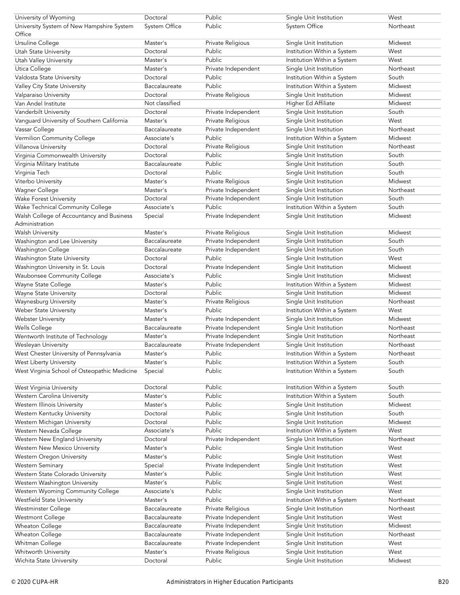| University of Wyoming                               | Doctoral             | Public              | Single Unit Institution     | West      |
|-----------------------------------------------------|----------------------|---------------------|-----------------------------|-----------|
| University System of New Hampshire System<br>Office | <b>System Office</b> | Public              | System Office               | Northeast |
| Ursuline College                                    | Master's             | Private Religious   | Single Unit Institution     | Midwest   |
| Utah State University                               | Doctoral             | Public              | Institution Within a System | West      |
| <b>Utah Valley University</b>                       | Master's             | Public              | Institution Within a System | West      |
| Utica College                                       | Master's             | Private Independent | Single Unit Institution     | Northeast |
| Valdosta State University                           | Doctoral             | Public              | Institution Within a System | South     |
| Valley City State University                        | Baccalaureate        | Public              | Institution Within a System | Midwest   |
| Valparaiso University                               | Doctoral             | Private Religious   | Single Unit Institution     | Midwest   |
| Van Andel Institute                                 | Not classified       |                     | Higher Ed Affiliate         | Midwest   |
| Vanderbilt University                               | Doctoral             | Private Independent | Single Unit Institution     | South     |
| Vanguard University of Southern California          | Master's             | Private Religious   | Single Unit Institution     | West      |
| Vassar College                                      | Baccalaureate        | Private Independent | Single Unit Institution     | Northeast |
| Vermilion Community College                         | Associate's          | Public              | Institution Within a System | Midwest   |
| Villanova University                                | Doctoral             | Private Religious   | Single Unit Institution     | Northeast |
| Virginia Commonwealth University                    | Doctoral             | Public              | Single Unit Institution     | South     |
| Virginia Military Institute                         | Baccalaureate        | <b>Public</b>       | Single Unit Institution     | South     |
| Virginia Tech                                       | Doctoral             | Public              | Single Unit Institution     | South     |
| Viterbo University                                  | Master's             | Private Religious   | Single Unit Institution     | Midwest   |
| Wagner College                                      | Master's             | Private Independent | Single Unit Institution     | Northeast |
| Wake Forest University                              | Doctoral             | Private Independent | Single Unit Institution     | South     |
| Wake Technical Community College                    | Associate's          | Public              | Institution Within a System | South     |
| Walsh College of Accountancy and Business           | Special              | Private Independent | Single Unit Institution     | Midwest   |
| Administration                                      |                      |                     |                             |           |
| <b>Walsh University</b>                             | Master's             | Private Religious   | Single Unit Institution     | Midwest   |
| Washington and Lee University                       | Baccalaureate        | Private Independent | Single Unit Institution     | South     |
| Washington College                                  | Baccalaureate        | Private Independent | Single Unit Institution     | South     |
| Washington State University                         | Doctoral             | Public              | Single Unit Institution     | West      |
| Washington University in St. Louis                  | Doctoral             | Private Independent | Single Unit Institution     | Midwest   |
| Waubonsee Community College                         | Associate's          | Public              | Single Unit Institution     | Midwest   |
| Wayne State College                                 | Master's             | Public              | Institution Within a System | Midwest   |
| Wayne State University                              | Doctoral             | Public              | Single Unit Institution     | Midwest   |
| Waynesburg University                               | Master's             | Private Religious   | Single Unit Institution     | Northeast |
| Weber State University                              | Master's             | Public              | Institution Within a System | West      |
| Webster University                                  | Master's             | Private Independent | Single Unit Institution     | Midwest   |
| Wells College                                       | Baccalaureate        | Private Independent | Single Unit Institution     | Northeast |
| Wentworth Institute of Technology                   | Master's             | Private Independent | Single Unit Institution     | Northeast |
| Wesleyan University                                 | Baccalaureate        | Private Independent | Single Unit Institution     | Northeast |
| West Chester University of Pennsylvania             | Master's             | Public              | Institution Within a System | Northeast |
| West Liberty University                             | Master's             | Public              | Institution Within a System | South     |
| West Virginia School of Osteopathic Medicine        | Special              | Public              | Institution Within a System | South     |
| West Virginia University                            | Doctoral             | Public              | Institution Within a System | South     |
| Western Carolina University                         | Master's             | Public              | Institution Within a System | South     |
| Western Illinois University                         | Master's             | Public              | Single Unit Institution     | Midwest   |
| Western Kentucky University                         | Doctoral             | Public              | Single Unit Institution     | South     |
| Western Michigan University                         | Doctoral             | Public              | Single Unit Institution     | Midwest   |
| Western Nevada College                              | Associate's          | Public              | Institution Within a System | West      |
| Western New England University                      | Doctoral             | Private Independent | Single Unit Institution     | Northeast |
| Western New Mexico University                       | Master's             | Public              | Single Unit Institution     | West      |
| Western Oregon University                           | Master's             | Public              | Single Unit Institution     | West      |
| Western Seminary                                    | Special              | Private Independent | Single Unit Institution     | West      |
| Western State Colorado University                   | Master's             | Public              | Single Unit Institution     | West      |
| Western Washington University                       | Master's             | Public              | Single Unit Institution     | West      |
| Western Wyoming Community College                   | Associate's          | Public              | Single Unit Institution     | West      |
| Westfield State University                          | Master's             | Public              | Institution Within a System | Northeast |
| Westminster College                                 | Baccalaureate        | Private Religious   | Single Unit Institution     | Northeast |
| Westmont College                                    | Baccalaureate        | Private Independent | Single Unit Institution     | West      |
| Wheaton College                                     | Baccalaureate        | Private Independent | Single Unit Institution     | Midwest   |
| Wheaton College                                     | Baccalaureate        | Private Independent | Single Unit Institution     | Northeast |
| Whitman College                                     | Baccalaureate        | Private Independent | Single Unit Institution     | West      |
| Whitworth University                                | Master's             | Private Religious   | Single Unit Institution     | West      |
| Wichita State University                            | Doctoral             | Public              | Single Unit Institution     | Midwest   |